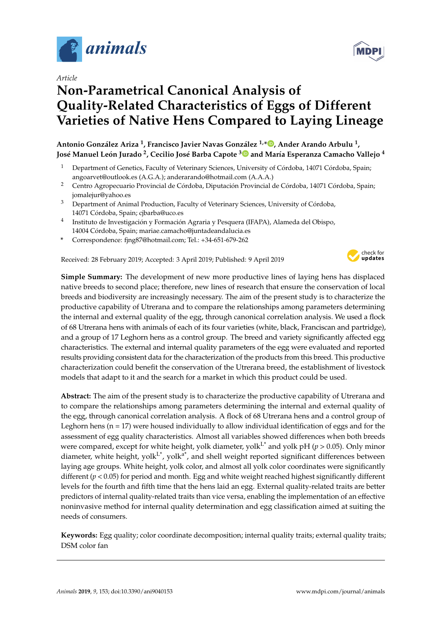

*Article*

# **Non-Parametrical Canonical Analysis of Quality-Related Characteristics of Eggs of Different Varieties of Native Hens Compared to Laying Lineage**

**Antonio González Ariza <sup>1</sup> , Francisco Javier Navas González 1,[\\*](https://orcid.org/0000-0002-0093-5151) , Ander Arando Arbulu <sup>1</sup> , José Manuel León Jurado <sup>2</sup> , Cecilio José Barba Capote [3](https://orcid.org/0000-0001-8363-1673) and María Esperanza Camacho Vallejo <sup>4</sup>**

- <sup>1</sup> Department of Genetics, Faculty of Veterinary Sciences, University of Córdoba, 14071 Córdoba, Spain; angoarvet@outlook.es (A.G.A.); anderarando@hotmail.com (A.A.A.)
- <sup>2</sup> Centro Agropecuario Provincial de Córdoba, Diputación Provincial de Córdoba, 14071 Córdoba, Spain; jomalejur@yahoo.es
- <sup>3</sup> Department of Animal Production, Faculty of Veterinary Sciences, University of Córdoba, 14071 Córdoba, Spain; cjbarba@uco.es
- <sup>4</sup> Instituto de Investigación y Formación Agraria y Pesquera (IFAPA), Alameda del Obispo, 14004 Córdoba, Spain; mariae.camacho@juntadeandalucia.es
- **\*** Correspondence: fjng87@hotmail.com; Tel.: +34-651-679-262

Received: 28 February 2019; Accepted: 3 April 2019; Published: 9 April 2019



**Simple Summary:** The development of new more productive lines of laying hens has displaced native breeds to second place; therefore, new lines of research that ensure the conservation of local breeds and biodiversity are increasingly necessary. The aim of the present study is to characterize the productive capability of Utrerana and to compare the relationships among parameters determining the internal and external quality of the egg, through canonical correlation analysis. We used a flock of 68 Utrerana hens with animals of each of its four varieties (white, black, Franciscan and partridge), and a group of 17 Leghorn hens as a control group. The breed and variety significantly affected egg characteristics. The external and internal quality parameters of the egg were evaluated and reported results providing consistent data for the characterization of the products from this breed. This productive characterization could benefit the conservation of the Utrerana breed, the establishment of livestock models that adapt to it and the search for a market in which this product could be used.

**Abstract:** The aim of the present study is to characterize the productive capability of Utrerana and to compare the relationships among parameters determining the internal and external quality of the egg, through canonical correlation analysis. A flock of 68 Utrerana hens and a control group of Leghorn hens ( $n = 17$ ) were housed individually to allow individual identification of eggs and for the assessment of egg quality characteristics. Almost all variables showed differences when both breeds were compared, except for white height, yolk diameter, yolk<sup>L\*</sup> and yolk pH ( $p > 0.05$ ). Only minor diameter, white height, yol $k^{1*}$ , yol $k^{2*}$ , and shell weight reported significant differences between laying age groups. White height, yolk color, and almost all yolk color coordinates were significantly different (*p* < 0.05) for period and month. Egg and white weight reached highest significantly different levels for the fourth and fifth time that the hens laid an egg. External quality-related traits are better predictors of internal quality-related traits than vice versa, enabling the implementation of an effective noninvasive method for internal quality determination and egg classification aimed at suiting the needs of consumers.

**Keywords:** Egg quality; color coordinate decomposition; internal quality traits; external quality traits; DSM color fan

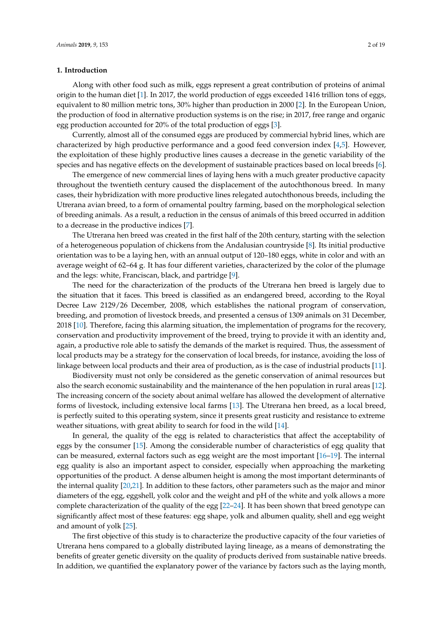# **1. Introduction**

Along with other food such as milk, eggs represent a great contribution of proteins of animal origin to the human diet [\[1\]](#page-15-0). In 2017, the world production of eggs exceeded 1416 trillion tons of eggs, equivalent to 80 million metric tons, 30% higher than production in 2000 [\[2\]](#page-15-1). In the European Union, the production of food in alternative production systems is on the rise; in 2017, free range and organic egg production accounted for 20% of the total production of eggs [\[3\]](#page-15-2).

Currently, almost all of the consumed eggs are produced by commercial hybrid lines, which are characterized by high productive performance and a good feed conversion index [\[4,](#page-15-3)[5\]](#page-15-4). However, the exploitation of these highly productive lines causes a decrease in the genetic variability of the species and has negative effects on the development of sustainable practices based on local breeds [\[6\]](#page-15-5).

The emergence of new commercial lines of laying hens with a much greater productive capacity throughout the twentieth century caused the displacement of the autochthonous breed. In many cases, their hybridization with more productive lines relegated autochthonous breeds, including the Utrerana avian breed, to a form of ornamental poultry farming, based on the morphological selection of breeding animals. As a result, a reduction in the census of animals of this breed occurred in addition to a decrease in the productive indices [\[7\]](#page-15-6).

The Utrerana hen breed was created in the first half of the 20th century, starting with the selection of a heterogeneous population of chickens from the Andalusian countryside [\[8\]](#page-15-7). Its initial productive orientation was to be a laying hen, with an annual output of 120–180 eggs, white in color and with an average weight of 62–64 g. It has four different varieties, characterized by the color of the plumage and the legs: white, Franciscan, black, and partridge [\[9\]](#page-15-8).

The need for the characterization of the products of the Utrerana hen breed is largely due to the situation that it faces. This breed is classified as an endangered breed, according to the Royal Decree Law 2129/26 December, 2008, which establishes the national program of conservation, breeding, and promotion of livestock breeds, and presented a census of 1309 animals on 31 December, 2018 [\[10\]](#page-15-9). Therefore, facing this alarming situation, the implementation of programs for the recovery, conservation and productivity improvement of the breed, trying to provide it with an identity and, again, a productive role able to satisfy the demands of the market is required. Thus, the assessment of local products may be a strategy for the conservation of local breeds, for instance, avoiding the loss of linkage between local products and their area of production, as is the case of industrial products [\[11\]](#page-15-10).

Biodiversity must not only be considered as the genetic conservation of animal resources but also the search economic sustainability and the maintenance of the hen population in rural areas [\[12\]](#page-15-11). The increasing concern of the society about animal welfare has allowed the development of alternative forms of livestock, including extensive local farms [\[13\]](#page-15-12). The Utrerana hen breed, as a local breed, is perfectly suited to this operating system, since it presents great rusticity and resistance to extreme weather situations, with great ability to search for food in the wild [\[14\]](#page-15-13).

In general, the quality of the egg is related to characteristics that affect the acceptability of eggs by the consumer [\[15\]](#page-15-14). Among the considerable number of characteristics of egg quality that can be measured, external factors such as egg weight are the most important [\[16–](#page-15-15)[19\]](#page-16-0). The internal egg quality is also an important aspect to consider, especially when approaching the marketing opportunities of the product. A dense albumen height is among the most important determinants of the internal quality [\[20,](#page-16-1)[21\]](#page-16-2). In addition to these factors, other parameters such as the major and minor diameters of the egg, eggshell, yolk color and the weight and pH of the white and yolk allows a more complete characterization of the quality of the egg [\[22–](#page-16-3)[24\]](#page-16-4). It has been shown that breed genotype can significantly affect most of these features: egg shape, yolk and albumen quality, shell and egg weight and amount of yolk [\[25\]](#page-16-5).

The first objective of this study is to characterize the productive capacity of the four varieties of Utrerana hens compared to a globally distributed laying lineage, as a means of demonstrating the benefits of greater genetic diversity on the quality of products derived from sustainable native breeds. In addition, we quantified the explanatory power of the variance by factors such as the laying month,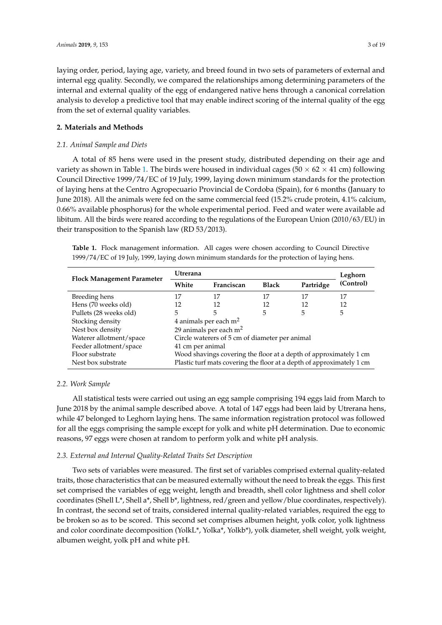laying order, period, laying age, variety, and breed found in two sets of parameters of external and internal egg quality. Secondly, we compared the relationships among determining parameters of the internal and external quality of the egg of endangered native hens through a canonical correlation analysis to develop a predictive tool that may enable indirect scoring of the internal quality of the egg from the set of external quality variables.

# **2. Materials and Methods**

## *2.1. Animal Sample and Diets*

A total of 85 hens were used in the present study, distributed depending on their age and variety as shown in Table [1.](#page-2-0) The birds were housed in individual cages ( $50 \times 62 \times 41$  cm) following Council Directive 1999/74/EC of 19 July, 1999, laying down minimum standards for the protection of laying hens at the Centro Agropecuario Provincial de Cordoba (Spain), for 6 months (January to June 2018). All the animals were fed on the same commercial feed (15.2% crude protein, 4.1% calcium, 0.66% available phosphorus) for the whole experimental period. Feed and water were available ad libitum. All the birds were reared according to the regulations of the European Union (2010/63/EU) in their transposition to the Spanish law (RD 53/2013).

<span id="page-2-0"></span>**Table 1.** Flock management information. All cages were chosen according to Council Directive 1999/74/EC of 19 July, 1999, laying down minimum standards for the protection of laying hens.

| <b>Flock Management Parameter</b> | <b>Utrerana</b>                    | Leghorn                                                               |              |           |           |  |  |  |
|-----------------------------------|------------------------------------|-----------------------------------------------------------------------|--------------|-----------|-----------|--|--|--|
|                                   | White                              | Franciscan                                                            | <b>Black</b> | Partridge | (Control) |  |  |  |
| Breeding hens                     | 17                                 | 17                                                                    | 17           | 17        | 17        |  |  |  |
| Hens (70 weeks old)               | 12                                 | 12                                                                    | 12           | 12        | 12        |  |  |  |
| Pullets (28 weeks old)            | 5                                  | 5                                                                     | 5            | 5         | 5         |  |  |  |
| Stocking density                  | 4 animals per each $m2$            |                                                                       |              |           |           |  |  |  |
| Nest box density                  | 29 animals per each m <sup>2</sup> |                                                                       |              |           |           |  |  |  |
| Waterer allotment/space           |                                    | Circle waterers of 5 cm of diameter per animal                        |              |           |           |  |  |  |
| Feeder allotment/space            | 41 cm per animal                   |                                                                       |              |           |           |  |  |  |
| Floor substrate                   |                                    | Wood shavings covering the floor at a depth of approximately 1 cm     |              |           |           |  |  |  |
| Nest box substrate                |                                    | Plastic turf mats covering the floor at a depth of approximately 1 cm |              |           |           |  |  |  |

## *2.2. Work Sample*

All statistical tests were carried out using an egg sample comprising 194 eggs laid from March to June 2018 by the animal sample described above. A total of 147 eggs had been laid by Utrerana hens, while 47 belonged to Leghorn laying hens. The same information registration protocol was followed for all the eggs comprising the sample except for yolk and white pH determination. Due to economic reasons, 97 eggs were chosen at random to perform yolk and white pH analysis.

#### *2.3. External and Internal Quality-Related Traits Set Description*

Two sets of variables were measured. The first set of variables comprised external quality-related traits, those characteristics that can be measured externally without the need to break the eggs. This first set comprised the variables of egg weight, length and breadth, shell color lightness and shell color coordinates (Shell L\*, Shell a\*, Shell b\*, lightness, red/green and yellow/blue coordinates, respectively). In contrast, the second set of traits, considered internal quality-related variables, required the egg to be broken so as to be scored. This second set comprises albumen height, yolk color, yolk lightness and color coordinate decomposition (YolkL\*, Yolka\*, Yolkb\*), yolk diameter, shell weight, yolk weight, albumen weight, yolk pH and white pH.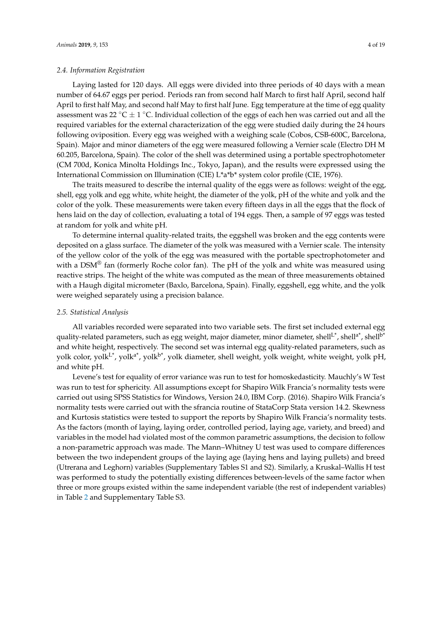# *2.4. Information Registration*

Laying lasted for 120 days. All eggs were divided into three periods of 40 days with a mean number of 64.67 eggs per period. Periods ran from second half March to first half April, second half April to first half May, and second half May to first half June. Egg temperature at the time of egg quality assessment was 22 °C  $\pm$  1 °C. Individual collection of the eggs of each hen was carried out and all the required variables for the external characterization of the egg were studied daily during the 24 hours following oviposition. Every egg was weighed with a weighing scale (Cobos, CSB-600C, Barcelona, Spain). Major and minor diameters of the egg were measured following a Vernier scale (Electro DH M 60.205, Barcelona, Spain). The color of the shell was determined using a portable spectrophotometer (CM 700d, Konica Minolta Holdings Inc., Tokyo, Japan), and the results were expressed using the International Commission on Illumination (CIE) L\*a\*b\* system color profile (CIE, 1976).

The traits measured to describe the internal quality of the eggs were as follows: weight of the egg, shell, egg yolk and egg white, white height, the diameter of the yolk, pH of the white and yolk and the color of the yolk. These measurements were taken every fifteen days in all the eggs that the flock of hens laid on the day of collection, evaluating a total of 194 eggs. Then, a sample of 97 eggs was tested at random for yolk and white pH.

To determine internal quality-related traits, the eggshell was broken and the egg contents were deposited on a glass surface. The diameter of the yolk was measured with a Vernier scale. The intensity of the yellow color of the yolk of the egg was measured with the portable spectrophotometer and with a  $DSM^{\circledR}$  fan (formerly Roche color fan). The pH of the yolk and white was measured using reactive strips. The height of the white was computed as the mean of three measurements obtained with a Haugh digital micrometer (Baxlo, Barcelona, Spain). Finally, eggshell, egg white, and the yolk were weighed separately using a precision balance.

## *2.5. Statistical Analysis*

All variables recorded were separated into two variable sets. The first set included external egg quality-related parameters, such as egg weight, major diameter, minor diameter, shellL<sup>\*</sup>, shell<sup>a\*</sup>, shell<sup>b\*</sup> and white height, respectively. The second set was internal egg quality-related parameters, such as yolk color, yol $k^{L^*}$ , yolk $a^*$ , yolk  $b^*$ , yolk diameter, shell weight, yolk weight, white weight, yolk pH, and white pH.

Levene's test for equality of error variance was run to test for homoskedasticity. Mauchly's W Test was run to test for sphericity. All assumptions except for Shapiro Wilk Francia's normality tests were carried out using SPSS Statistics for Windows, Version 24.0, IBM Corp. (2016). Shapiro Wilk Francia's normality tests were carried out with the sfrancia routine of StataCorp Stata version 14.2. Skewness and Kurtosis statistics were tested to support the reports by Shapiro Wilk Francia's normality tests. As the factors (month of laying, laying order, controlled period, laying age, variety, and breed) and variables in the model had violated most of the common parametric assumptions, the decision to follow a non-parametric approach was made. The Mann–Whitney U test was used to compare differences between the two independent groups of the laying age (laying hens and laying pullets) and breed (Utrerana and Leghorn) variables (Supplementary Tables S1 and S2). Similarly, a Kruskal–Wallis H test was performed to study the potentially existing differences between-levels of the same factor when three or more groups existed within the same independent variable (the rest of independent variables) in Table [2](#page-4-0) and Supplementary Table S3.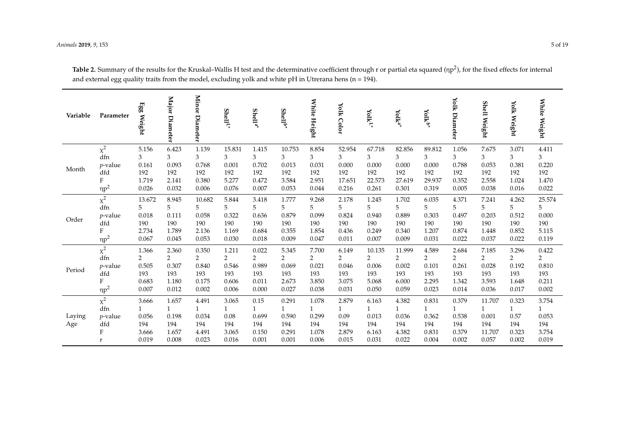<span id="page-4-0"></span>

| Variable      | Parameter                                      | Egg Weight                              | <b>Major</b><br>Diameter                                | Minor<br>Diameter                                       | Shell <sup>t</sup>                                     | $Shell*$                                               | $Shell^*$                                               | White Height                                            | Yolk Color                                  | $\mathbf{Yolk}^{\mathsf{L}^*}$                          | $\mathbf{Yolk}^{\mathbf{a}^*}$                          | Yolkb*                                                  | Yolk Diameter                           | <b>Shell Weight</b>                       | Yolk Weight                                            | White Weight                                            |
|---------------|------------------------------------------------|-----------------------------------------|---------------------------------------------------------|---------------------------------------------------------|--------------------------------------------------------|--------------------------------------------------------|---------------------------------------------------------|---------------------------------------------------------|---------------------------------------------|---------------------------------------------------------|---------------------------------------------------------|---------------------------------------------------------|-----------------------------------------|-------------------------------------------|--------------------------------------------------------|---------------------------------------------------------|
| Month         | $\chi^2$                                       | 5.156                                   | 6.423                                                   | 1.139                                                   | 15.831                                                 | 1.415                                                  | 10.753                                                  | 8.854                                                   | 52.954                                      | 67.718                                                  | 82.856                                                  | 89.812                                                  | 1.056                                   | 7.675                                     | 3.071                                                  | 4.411                                                   |
|               | dfn                                            | 3                                       | 3                                                       | 3                                                       | 3                                                      | 3                                                      | 3                                                       | 3                                                       | 3                                           | 3                                                       | 3                                                       | 3                                                       | 3                                       | 3                                         | $\mathfrak{Z}$                                         | 3                                                       |
|               | $p$ -value                                     | 0.161                                   | 0.093                                                   | 0.768                                                   | 0.001                                                  | 0.702                                                  | 0.013                                                   | 0.031                                                   | 0.000                                       | 0.000                                                   | 0.000                                                   | 0.000                                                   | 0.788                                   | 0.053                                     | 0.381                                                  | 0.220                                                   |
|               | dfd                                            | 192                                     | 192                                                     | 192                                                     | 192                                                    | 192                                                    | 192                                                     | 192                                                     | 192                                         | 192                                                     | 192                                                     | 192                                                     | 192                                     | 192                                       | 192                                                    | 192                                                     |
|               | F                                              | 1.719                                   | 2.141                                                   | 0.380                                                   | 5.277                                                  | 0.472                                                  | 3.584                                                   | 2.951                                                   | 17.651                                      | 22.573                                                  | 27.619                                                  | 29.937                                                  | 0.352                                   | 2.558                                     | 1.024                                                  | $1.470\,$                                               |
|               | $\eta p^2$                                     | 0.026                                   | 0.032                                                   | 0.006                                                   | 0.076                                                  | 0.007                                                  | 0.053                                                   | 0.044                                                   | 0.216                                       | 0.261                                                   | 0.301                                                   | 0.319                                                   | 0.005                                   | 0.038                                     | 0.016                                                  | 0.022                                                   |
| Order         | $\chi^2$                                       | 13.672                                  | 8.945                                                   | 10.682                                                  | 5.844                                                  | 3.418                                                  | 1.777                                                   | 9.268                                                   | 2.178                                       | 1.245                                                   | 1.702                                                   | 6.035                                                   | 4.371                                   | 7.241                                     | 4.262                                                  | 25.574                                                  |
|               | dfn                                            | 5                                       | 5                                                       | 5                                                       | 5                                                      | 5                                                      | 5                                                       | 5                                                       | 5                                           | 5                                                       | 5                                                       | 5                                                       | 5                                       | 5                                         | 5                                                      | 5                                                       |
|               | $p$ -value                                     | 0.018                                   | 0.111                                                   | 0.058                                                   | 0.322                                                  | 0.636                                                  | 0.879                                                   | 0.099                                                   | 0.824                                       | 0.940                                                   | 0.889                                                   | 0.303                                                   | 0.497                                   | 0.203                                     | 0.512                                                  | 0.000                                                   |
|               | dfd                                            | 190                                     | 190                                                     | 190                                                     | 190                                                    | 190                                                    | 190                                                     | 190                                                     | 190                                         | 190                                                     | 190                                                     | 190                                                     | 190                                     | 190                                       | 190                                                    | 190                                                     |
|               | F                                              | 2.734                                   | 1.789                                                   | 2.136                                                   | 1.169                                                  | 0.684                                                  | 0.355                                                   | 1.854                                                   | 0.436                                       | 0.249                                                   | 0.340                                                   | 1.207                                                   | 0.874                                   | 1.448                                     | 0.852                                                  | 5.115                                                   |
|               | $\eta p^2$                                     | 0.067                                   | 0.045                                                   | 0.053                                                   | 0.030                                                  | 0.018                                                  | 0.009                                                   | 0.047                                                   | 0.011                                       | 0.007                                                   | 0.009                                                   | 0.031                                                   | 0.022                                   | 0.037                                     | 0.022                                                  | 0.119                                                   |
| Period        | $\chi^2$                                       | 1.366                                   | 2.360                                                   | 0.350                                                   | 1.211                                                  | 0.022                                                  | 5.345                                                   | 7.700                                                   | 6.149                                       | 10.135                                                  | 11.999                                                  | 4.589                                                   | 2.684                                   | 7.185                                     | 3.296                                                  | 0.422                                                   |
|               | dfn                                            | $\overline{2}$                          | $\overline{2}$                                          | $\overline{2}$                                          | $\overline{2}$                                         | $\overline{2}$                                         | $\overline{2}$                                          | $\overline{2}$                                          | 2                                           | $\overline{2}$                                          | $\overline{2}$                                          | $\overline{2}$                                          | 2                                       | $\overline{2}$                            | 2                                                      | $\overline{2}$                                          |
|               | $p$ -value                                     | 0.505                                   | 0.307                                                   | 0.840                                                   | 0.546                                                  | 0.989                                                  | 0.069                                                   | 0.021                                                   | 0.046                                       | 0.006                                                   | 0.002                                                   | 0.101                                                   | 0.261                                   | 0.028                                     | 0.192                                                  | 0.810                                                   |
|               | dfd                                            | 193                                     | 193                                                     | 193                                                     | 193                                                    | 193                                                    | 193                                                     | 193                                                     | 193                                         | 193                                                     | 193                                                     | 193                                                     | 193                                     | 193                                       | 193                                                    | 193                                                     |
|               | F                                              | 0.683                                   | 1.180                                                   | 0.175                                                   | 0.606                                                  | 0.011                                                  | 2.673                                                   | 3.850                                                   | 3.075                                       | 5.068                                                   | 6.000                                                   | 2.295                                                   | 1.342                                   | 3.593                                     | 1.648                                                  | 0.211                                                   |
|               | $\eta p^2$                                     | 0.007                                   | 0.012                                                   | 0.002                                                   | 0.006                                                  | 0.000                                                  | 0.027                                                   | 0.038                                                   | 0.031                                       | 0.050                                                   | 0.059                                                   | 0.023                                                   | 0.014                                   | 0.036                                     | 0.017                                                  | 0.002                                                   |
| Laying<br>Age | $\chi^2$<br>dfn<br>$p$ -value<br>dfd<br>F<br>r | 3.666<br>0.056<br>194<br>3.666<br>0.019 | 1.657<br>$\mathbf{1}$<br>0.198<br>194<br>1.657<br>0.008 | 4.491<br>$\mathbf{1}$<br>0.034<br>194<br>4.491<br>0.023 | 3.065<br>$\mathbf{1}$<br>0.08<br>194<br>3.065<br>0.016 | 0.15<br>$\mathbf{1}$<br>0.699<br>194<br>0.150<br>0.001 | 0.291<br>$\mathbf{1}$<br>0.590<br>194<br>0.291<br>0.001 | 1.078<br>$\mathbf{1}$<br>0.299<br>194<br>1.078<br>0.006 | 2.879<br>1<br>0.09<br>194<br>2.879<br>0.015 | 6.163<br>$\mathbf{1}$<br>0.013<br>194<br>6.163<br>0.031 | 4.382<br>$\mathbf{1}$<br>0.036<br>194<br>4.382<br>0.022 | 0.831<br>$\mathbf{1}$<br>0.362<br>194<br>0.831<br>0.004 | 0.379<br>0.538<br>194<br>0.379<br>0.002 | 11.707<br>0.001<br>194<br>11.707<br>0.057 | 0.323<br>$\mathbf{1}$<br>0.57<br>194<br>0.323<br>0.002 | 3.754<br>$\mathbf{1}$<br>0.053<br>194<br>3.754<br>0.019 |

**Table 2.** Summary of the results for the Kruskal–Wallis H test and the determinative coefficient through r or partial eta squared (ηp 2 ), for the fixed effects for internal and external egg quality traits from the model, excluding yolk and white pH in Utrerana hens (n = 194).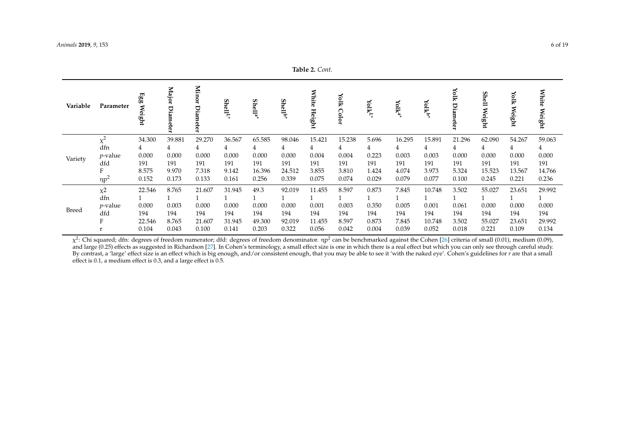|              | $\mathbf{u}$ |                                |                        |                         |          |                     |                     |                        |               |                                    |        |                         |                    |                   |                       |                 |
|--------------|--------------|--------------------------------|------------------------|-------------------------|----------|---------------------|---------------------|------------------------|---------------|------------------------------------|--------|-------------------------|--------------------|-------------------|-----------------------|-----------------|
| Variable     | Parameter    | $_{\rm gg}^{\rm gg}$<br>Weight | Major<br>Diam<br>leter | Minor<br>Ā<br>E<br>eter | $Shell*$ | Shell <sup>a*</sup> | Shell <sup>b*</sup> | <b>White</b><br>Height | Yolk<br>Color | $\mathbf{Y}$ olk $^{\mathbf{L}^*}$ | Yolka  | <b>Volk<sup>b</sup></b> | Yiolk<br>Diam<br>m | Şh<br>Ē<br>Weight | Yolk<br><b>Weight</b> | White<br>Weight |
| Variety      | $\chi^2$     | 34.300                         | 39.881                 | 29.270                  | 36.567   | 65.585              | 98.046              | 15.421                 | 15.238        | 5.696                              | 16.295 | 15.891                  | 21.296             | 62.090            | 54.267                | 59.063          |
|              | dfn          | 4                              | 4                      | 4                       |          | 4                   | 4                   | 4                      | 4             | 4                                  | 4      | 4                       | 4                  | 4                 | 4                     | 4               |
|              | $p$ -value   | 0.000                          | 0.000                  | 0.000                   | 0.000    | 0.000               | 0.000               | 0.004                  | 0.004         | 0.223                              | 0.003  | 0.003                   | 0.000              | 0.000             | 0.000                 | 0.000           |
|              | dfd          | 191                            | 191                    | 191                     | 191      | 191                 | 191                 | 191                    | 191           | 191                                | 191    | 191                     | 191                | 191               | 191                   | 191             |
|              | F            | 8.575                          | 9.970                  | 7.318                   | 9.142    | 16.396              | 24.512              | 3.855                  | 3.810         | 1.424                              | 4.074  | 3.973                   | 5.324              | 15.523            | 13.567                | 14.766          |
|              | $\eta p^2$   | 0.152                          | 0.173                  | 0.133                   | 0.161    | 0.256               | 0.339               | 0.075                  | 0.074         | 0.029                              | 0.079  | 0.077                   | 0.100              | 0.245             | 0.221                 | 0.236           |
|              | $x^2$        | 22.546                         | 8.765                  | 21.607                  | 31.945   | 49.3                | 92.019              | 11.455                 | 8.597         | 0.873                              | 7.845  | 10.748                  | 3.502              | 55.027            | 23.651                | 29.992          |
|              | dfn          |                                |                        |                         |          |                     |                     |                        |               |                                    |        |                         |                    |                   |                       |                 |
|              | $p$ -value   | 0.000                          | 0.003                  | 0.000                   | 0.000    | 0.000               | 0.000               | 0.001                  | 0.003         | 0.350                              | 0.005  | 0.001                   | 0.061              | 0.000             | 0.000                 | 0.000           |
| <b>Breed</b> | dfd          | 194                            | 194                    | 194                     | 194      | 194                 | 194                 | 194                    | 194           | 194                                | 194    | 194                     | 194                | 194               | 194                   | 194             |
|              | F            | 22.546                         | 8.765                  | 21.607                  | 31.945   | 49.300              | 92.019              | 11.455                 | 8.597         | 0.873                              | 7.845  | 10.748                  | 3.502              | 55.027            | 23.651                | 29.992          |
|              |              | 0.104                          | 0.043                  | 0.100                   | 0.141    | 0.203               | 0.322               | 0.056                  | 0.042         | 0.004                              | 0.039  | 0.052                   | 0.018              | 0.221             | 0.109                 | 0.134           |

 $\chi^2$ : Chi squared; dfn: degrees of freedom numerator; dfd: degrees of freedom denominator. ηp<sup>2</sup> can be benchmarked against the Cohen [\[26\]](#page-16-6) criteria of small (0.01), medium (0.09), and large (0.25) effects as suggested in Richardson [\[27\]](#page-16-7). In Cohen's terminology, a small effect size is one in which there is a real effect but which you can only see through careful study. By contrast, a 'large' effect size is an effect which is big enough, and/or consistent enough, that you may be able to see it 'with the naked eye'. Cohen's guidelines for *r* are that a small effect is 0.1, a medium effect is 0.3, and a large effect is 0.5.

**Table 2.** *Cont.*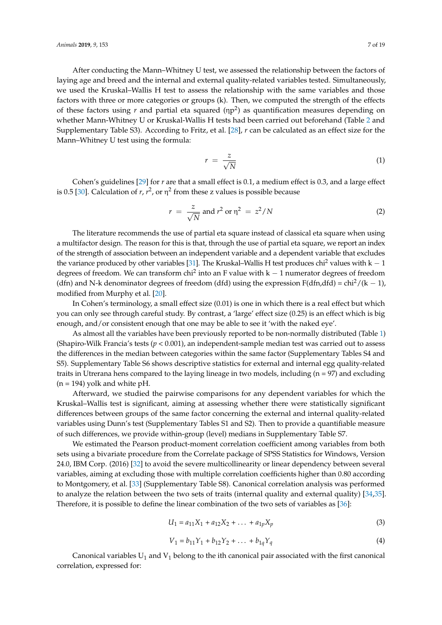After conducting the Mann–Whitney U test, we assessed the relationship between the factors of laying age and breed and the internal and external quality-related variables tested. Simultaneously, we used the Kruskal–Wallis H test to assess the relationship with the same variables and those factors with three or more categories or groups (k). Then, we computed the strength of the effects of these factors using *r* and partial eta squared (ηp 2 ) as quantification measures depending on whether Mann-Whitney U or Kruskal-Wallis H tests had been carried out beforehand (Table [2](#page-4-0) and Supplementary Table S3). According to Fritz, et al. [\[28\]](#page-16-8), *r* can be calculated as an effect size for the Mann–Whitney U test using the formula:

$$
r = \frac{z}{\sqrt{N}}\tag{1}
$$

Cohen's guidelines [\[29\]](#page-16-9) for *r* are that a small effect is 0.1, a medium effect is 0.3, and a large effect is 0.5 [\[30\]](#page-16-10). Calculation of  $r$ ,  $r^2$ , or  $\eta^2$  from these z values is possible because

$$
r = \frac{z}{\sqrt{N}} \text{ and } r^2 \text{ or } \eta^2 = z^2/N \tag{2}
$$

The literature recommends the use of partial eta square instead of classical eta square when using a multifactor design. The reason for this is that, through the use of partial eta square, we report an index of the strength of association between an independent variable and a dependent variable that excludes the variance produced by other variables [\[31\]](#page-16-11). The Kruskal–Wallis H test produces chi<sup>2</sup> values with k – 1 degrees of freedom. We can transform chi<sup>2</sup> into an F value with k  $-$  1 numerator degrees of freedom (dfn) and N-k denominator degrees of freedom (dfd) using the expression  $F(dfn, dfd) = \frac{chi^2}{(k-1)}$ , modified from Murphy et al. [\[20\]](#page-16-1).

In Cohen's terminology, a small effect size (0.01) is one in which there is a real effect but which you can only see through careful study. By contrast, a 'large' effect size (0.25) is an effect which is big enough, and/or consistent enough that one may be able to see it 'with the naked eye'.

As almost all the variables have been previously reported to be non-normally distributed (Table [1\)](#page-2-0) (Shapiro-Wilk Francia's tests (*p* < 0.001), an independent-sample median test was carried out to assess the differences in the median between categories within the same factor (Supplementary Tables S4 and S5). Supplementary Table S6 shows descriptive statistics for external and internal egg quality-related traits in Utrerana hens compared to the laying lineage in two models, including (n = 97) and excluding  $(n = 194)$  yolk and white pH.

Afterward, we studied the pairwise comparisons for any dependent variables for which the Kruskal–Wallis test is significant, aiming at assessing whether there were statistically significant differences between groups of the same factor concerning the external and internal quality-related variables using Dunn's test (Supplementary Tables S1 and S2). Then to provide a quantifiable measure of such differences, we provide within-group (level) medians in Supplementary Table S7.

We estimated the Pearson product-moment correlation coefficient among variables from both sets using a bivariate procedure from the Correlate package of SPSS Statistics for Windows, Version 24.0, IBM Corp. (2016) [\[32\]](#page-16-12) to avoid the severe multicollinearity or linear dependency between several variables, aiming at excluding those with multiple correlation coefficients higher than 0.80 according to Montgomery, et al. [\[33\]](#page-16-13) (Supplementary Table S8). Canonical correlation analysis was performed to analyze the relation between the two sets of traits (internal quality and external quality) [\[34,](#page-16-14)[35\]](#page-16-15). Therefore, it is possible to define the linear combination of the two sets of variables as [\[36\]](#page-16-16):

$$
U_1 = a_{11}X_1 + a_{12}X_2 + \dots + a_{1p}X_p \tag{3}
$$

$$
V_1 = b_{11}Y_1 + b_{12}Y_2 + \dots + b_{1q}Y_q
$$
 (4)

Canonical variables  $U_1$  and  $V_1$  belong to the ith canonical pair associated with the first canonical correlation, expressed for: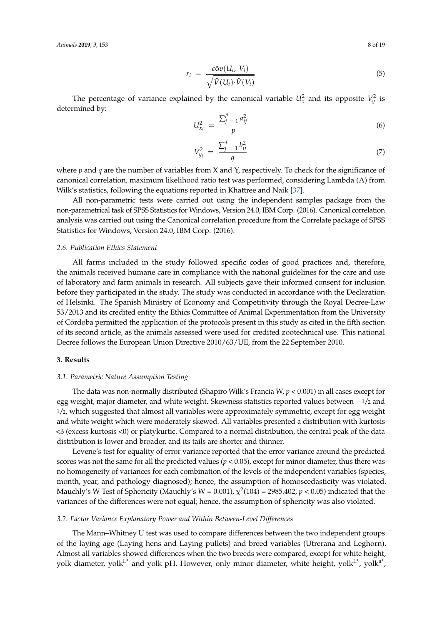$$
r_i = \frac{c \hat{\sigma} v(U_i, V_i)}{\sqrt{\hat{V}(U_i) \cdot \hat{V}(V_i)}}
$$
\n
$$
(5)
$$

The percentage of variance explained by the canonical variable  $U_x^2$  and its opposite  $V_y^2$  is determined by:

$$
U_{x_i}^2 = \frac{\sum_{j=1}^p a_{ij}^2}{p}
$$
 (6)

$$
V_{y_i}^2 = \frac{\sum_{j=1}^q b_{ij}^2}{q}
$$
 (7)

where *p* and *q* are the number of variables from X and Y, respectively. To check for the significance of canonical correlation, maximum likelihood ratio test was performed, considering Lambda (Λ) from Wilk's statistics, following the equations reported in Khattree and Naik [\[37\]](#page-16-17).

All non-parametric tests were carried out using the independent samples package from the non-parametrical task of SPSS Statistics for Windows, Version 24.0, IBM Corp. (2016). Canonical correlation analysis was carried out using the Canonical correlation procedure from the Correlate package of SPSS Statistics for Windows, Version 24.0, IBM Corp. (2016).

## *2.6. Publication Ethics Statement*

All farms included in the study followed specific codes of good practices and, therefore, the animals received humane care in compliance with the national guidelines for the care and use of laboratory and farm animals in research. All subjects gave their informed consent for inclusion before they participated in the study. The study was conducted in accordance with the Declaration of Helsinki. The Spanish Ministry of Economy and Competitivity through the Royal Decree-Law 53/2013 and its credited entity the Ethics Committee of Animal Experimentation from the University of Córdoba permitted the application of the protocols present in this study as cited in the fifth section of its second article, as the animals assessed were used for credited zootechnical use. This national Decree follows the European Union Directive 2010/63/UE, from the 22 September 2010.

## **3. Results**

## *3.1. Parametric Nature Assumption Testing*

The data was non-normally distributed (Shapiro Wilk's Francia W,  $p < 0.001$ ) in all cases except for egg weight, major diameter, and white weight. Skewness statistics reported values between −1/<sup>2</sup> and 1/2, which suggested that almost all variables were approximately symmetric, except for egg weight and white weight which were moderately skewed. All variables presented a distribution with kurtosis <3 (excess kurtosis <0) or platykurtic. Compared to a normal distribution, the central peak of the data distribution is lower and broader, and its tails are shorter and thinner.

Levene's test for equality of error variance reported that the error variance around the predicted scores was not the same for all the predicted values  $(p < 0.05)$ , except for minor diameter, thus there was no homogeneity of variances for each combination of the levels of the independent variables (species, month, year, and pathology diagnosed); hence, the assumption of homoscedasticity was violated. Mauchly's W Test of Sphericity (Mauchly's W =  $0.001$ ),  $\chi^2(104)$  = 2985.402,  $p < 0.05$ ) indicated that the variances of the differences were not equal; hence, the assumption of sphericity was also violated.

#### *3.2. Factor Variance Explanatory Power and Within Between-Level Differences*

The Mann–Whitney U test was used to compare differences between the two independent groups of the laying age (Laying hens and Laying pullets) and breed variables (Utrerana and Leghorn). Almost all variables showed differences when the two breeds were compared, except for white height, yolk diameter, yolk $\rm{L^*}$  and yolk pH. However, only minor diameter, white height, yolk $\rm{L^*}$ , yolk $\rm{a^*}$ ,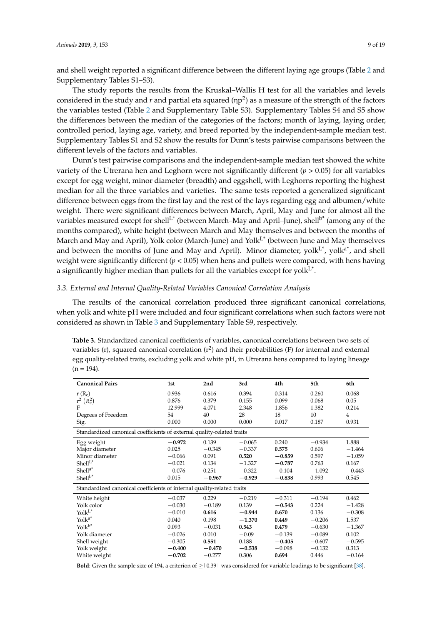and shell weight reported a significant difference between the different laying age groups (Table [2](#page-4-0) and Supplementary Tables S1–S3).

The study reports the results from the Kruskal–Wallis H test for all the variables and levels considered in the study and  $r$  and partial eta squared ( $np^2$ ) as a measure of the strength of the factors the variables tested (Table [2](#page-4-0) and Supplementary Table S3). Supplementary Tables S4 and S5 show the differences between the median of the categories of the factors; month of laying, laying order, controlled period, laying age, variety, and breed reported by the independent-sample median test. Supplementary Tables S1 and S2 show the results for Dunn's tests pairwise comparisons between the different levels of the factors and variables.

Dunn's test pairwise comparisons and the independent-sample median test showed the white variety of the Utrerana hen and Leghorn were not significantly different (*p* > 0.05) for all variables except for egg weight, minor diameter (breadth) and eggshell, with Leghorns reporting the highest median for all the three variables and varieties. The same tests reported a generalized significant difference between eggs from the first lay and the rest of the lays regarding egg and albumen/white weight. There were significant differences between March, April, May and June for almost all the variables measured except for shell<sup>L\*</sup> (between March–May and April–June), shell<sup>b\*</sup> (among any of the months compared), white height (between March and May themselves and between the months of March and May and April), Yolk color (March-June) and Yolk<sup>L\*</sup> (between June and May themselves and between the months of June and May and April). Minor diameter, yolk<sup>L\*</sup>, yolk<sup>a\*</sup>, and shell weight were significantly different (*p* < 0.05) when hens and pullets were compared, with hens having a significantly higher median than pullets for all the variables except for yolk $\mathsf{L}^*$ .

## *3.3. External and Internal Quality-Related Variables Canonical Correlation Analysis*

The results of the canonical correlation produced three significant canonical correlations, when yolk and white pH were included and four significant correlations when such factors were not considered as shown in Table [3](#page-8-0) and Supplementary Table S9, respectively.

<span id="page-8-0"></span>**Table 3.** Standardized canonical coefficients of variables, canonical correlations between two sets of variables (r), squared canonical correlation ( $r^2$ ) and their probabilities (F) for internal and external egg quality-related traits, excluding yolk and white pH, in Utrerana hens compared to laying lineage  $(n = 194)$ .

| <b>Canonical Pairs</b>                                                                                                              | 1st      | 2nd      | 3rd      | 4th      | 5th      | 6th            |  |  |  |  |  |
|-------------------------------------------------------------------------------------------------------------------------------------|----------|----------|----------|----------|----------|----------------|--|--|--|--|--|
| $r(R_c)$                                                                                                                            | 0.936    | 0.616    | 0.394    | 0.314    | 0.260    | 0.068          |  |  |  |  |  |
| $r^2$ $(R_c^2)$                                                                                                                     | 0.876    | 0.379    | 0.155    | 0.099    | 0.068    | 0.05           |  |  |  |  |  |
| F                                                                                                                                   | 12.999   | 4.071    | 2.348    | 1.856    | 1.382    | 0.214          |  |  |  |  |  |
| Degrees of Freedom                                                                                                                  | 54       | 40       | 28       | 18       | 10       | $\overline{4}$ |  |  |  |  |  |
| Sig.                                                                                                                                | 0.000    | 0.000    | 0.000    | 0.017    | 0.187    | 0.931          |  |  |  |  |  |
| Standardized canonical coefficients of external quality-related traits                                                              |          |          |          |          |          |                |  |  |  |  |  |
| Egg weight                                                                                                                          | $-0.972$ | 0.139    | $-0.065$ | 0.240    | $-0.934$ | 1.888          |  |  |  |  |  |
| Major diameter                                                                                                                      | 0.025    | $-0.345$ | $-0.337$ | 0.575    | 0.606    | $-1.464$       |  |  |  |  |  |
| Minor diameter                                                                                                                      | $-0.066$ | 0.091    | 0.520    | $-0.859$ | 0.597    | $-1.059$       |  |  |  |  |  |
| Shell <sup>L</sup>                                                                                                                  | $-0.021$ | 0.134    | $-1.327$ | $-0.787$ | 0.763    | 0.167          |  |  |  |  |  |
| $Shell^{a^*}$                                                                                                                       | $-0.076$ | 0.251    | $-0.322$ | $-0.104$ | $-1.092$ | $-0.443$       |  |  |  |  |  |
| Shell <sup>b*</sup>                                                                                                                 | 0.015    | $-0.967$ | $-0.929$ | $-0.838$ | 0.993    | 0.545          |  |  |  |  |  |
| Standardized canonical coefficients of internal quality-related traits                                                              |          |          |          |          |          |                |  |  |  |  |  |
| White height                                                                                                                        | $-0.037$ | 0.229    | $-0.219$ | $-0.311$ | $-0.194$ | 0.462          |  |  |  |  |  |
| Yolk color                                                                                                                          | $-0.030$ | $-0.189$ | 0.139    | $-0.543$ | 0.224    | $-1.428$       |  |  |  |  |  |
| $\text{Yolk}^{\text{L}*}$                                                                                                           | $-0.010$ | 0.616    | $-0.944$ | 0.670    | 0.136    | $-0.308$       |  |  |  |  |  |
| $\text{Yolk}^{\text{a*}}$                                                                                                           | 0.040    | 0.198    | $-1.370$ | 0.449    | $-0.206$ | 1.537          |  |  |  |  |  |
| $Yolk^{b*}$                                                                                                                         | 0.093    | $-0.031$ | 0.543    | 0.479    | $-0.630$ | $-1.367$       |  |  |  |  |  |
| Yolk diameter                                                                                                                       | $-0.026$ | 0.010    | $-0.09$  | $-0.139$ | $-0.089$ | 0.102          |  |  |  |  |  |
| Shell weight                                                                                                                        | $-0.305$ | 0.551    | 0.188    | $-0.405$ | $-0.607$ | $-0.595$       |  |  |  |  |  |
| Yolk weight                                                                                                                         | $-0.400$ | $-0.470$ | $-0.538$ | $-0.098$ | $-0.132$ | 0.313          |  |  |  |  |  |
| White weight                                                                                                                        | $-0.702$ | $-0.277$ | 0.306    | 0.694    | 0.446    | $-0.164$       |  |  |  |  |  |
| <b>Bold:</b> Given the sample size of 194, a criterion of $\geq$ 10.39 was considered for variable loadings to be significant [38]. |          |          |          |          |          |                |  |  |  |  |  |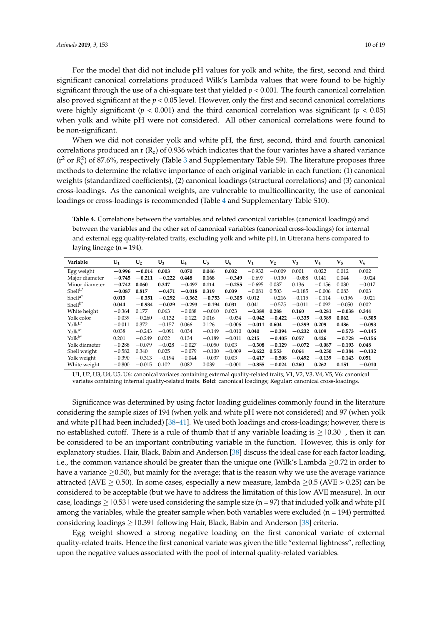For the model that did not include pH values for yolk and white, the first, second and third significant canonical correlations produced Wilk's Lambda values that were found to be highly significant through the use of a chi-square test that yielded *p* < 0.001. The fourth canonical correlation also proved significant at the *p* < 0.05 level. However, only the first and second canonical correlations were highly significant ( $p < 0.001$ ) and the third canonical correlation was significant ( $p < 0.05$ ) when yolk and white pH were not considered. All other canonical correlations were found to be non-significant.

When we did not consider yolk and white pH, the first, second, third and fourth canonical correlations produced an r  $(R_c)$  of 0.936 which indicates that the four variates have a shared variance  $(r^2 \text{ or } R_c^2)$  of 87.6%, respectively (Table [3](#page-8-0) and Supplementary Table S9). The literature proposes three methods to determine the relative importance of each original variable in each function: (1) canonical weights (standardized coefficients), (2) canonical loadings (structural correlations) and (3) canonical cross-loadings. As the canonical weights, are vulnerable to multicollinearity, the use of canonical loadings or cross-loadings is recommended (Table [4](#page-9-0) and Supplementary Table S10).

<span id="page-9-0"></span>**Table 4.** Correlations between the variables and related canonical variables (canonical loadings) and between the variables and the other set of canonical variables (canonical cross-loadings) for internal and external egg quality-related traits, excluding yolk and white pH, in Utrerana hens compared to laying lineage ( $n = 194$ ).

| Variable                           | $U_1$    | $U_2$    | $U_3$    | $U_4$    | $U_5$    | $U_6$    | $V_1$    | $V_{2}$  | $V_{3}$  | ${\rm V_4}$ | $V_{5}$  | $V_6$    |
|------------------------------------|----------|----------|----------|----------|----------|----------|----------|----------|----------|-------------|----------|----------|
| Egg weight                         | $-0.996$ | $-0.014$ | 0.003    | 0.070    | 0.046    | 0.032    | $-0.932$ | $-0.009$ | 0.001    | 0.022       | 0.012    | 0.002    |
| Major diameter                     | $-0.745$ | $-0.211$ | $-0.222$ | 0.448    | 0.168    | $-0.349$ | $-0.697$ | $-0.130$ | $-0.088$ | 0.141       | 0.044    | $-0.024$ |
| Minor diameter                     | $-0.742$ | 0.060    | 0.347    | $-0.497$ | 0.114    | $-0.255$ | $-0.695$ | 0.037    | 0.136    | $-0.156$    | 0.030    | $-0.017$ |
| Shell <sup>L</sup>                 | $-0.087$ | 0.817    | $-0.471$ | $-0.018$ | 0.319    | 0.039    | $-0.081$ | 0.503    | $-0.185$ | $-0.006$    | 0.083    | 0.003    |
| Shell <sup>a*</sup>                | 0.013    | $-0.351$ | $-0.292$ | $-0.362$ | $-0.753$ | $-0.305$ | 0.012    | $-0.216$ | $-0.115$ | $-0.114$    | $-0.196$ | $-0.021$ |
| $Shell^{b*}$                       | 0.044    | $-0.934$ | $-0.029$ | $-0.293$ | $-0.194$ | 0.031    | 0.041    | $-0.575$ | $-0.011$ | $-0.092$    | $-0.050$ | 0.002    |
| White height                       | $-0.364$ | 0.177    | 0.063    | $-0.088$ | $-0.010$ | 0.023    | $-0.389$ | 0.288    | 0.160    | $-0.281$    | $-0.038$ | 0.344    |
| Yolk color                         | $-0.039$ | $-0.260$ | $-0.132$ | $-0.122$ | 0.016    | $-0.034$ | $-0.042$ | $-0.422$ | $-0.335$ | $-0.389$    | 0.062    | $-0.505$ |
| $Yolk$ <sup><math>L^*</math></sup> | $-0.011$ | 0.372    | $-0.157$ | 0.066    | 0.126    | $-0.006$ | $-0.011$ | 0.604    | $-0.399$ | 0.209       | 0.486    | $-0.093$ |
| Yolk <sup>a*</sup>                 | 0.038    | $-0.243$ | $-0.091$ | 0.034    | $-0.149$ | $-0.010$ | 0.040    | $-0.394$ | $-0.232$ | 0.109       | $-0.573$ | $-0.145$ |
| $Yolk^{b*}$                        | 0.201    | $-0.249$ | 0.022    | 0.134    | $-0.189$ | $-0.011$ | 0.215    | $-0.405$ | 0.057    | 0.426       | $-0.728$ | $-0.156$ |
| Yolk diameter                      | $-0.288$ | $-0.079$ | $-0.028$ | $-0.027$ | $-0.050$ | 0.003    | $-0.308$ | $-0.129$ | $-0.072$ | $-0.087$    | $-0.193$ | 0.048    |
| Shell weight                       | $-0.582$ | 0.340    | 0.025    | $-0.079$ | $-0.100$ | $-0.009$ | $-0.622$ | 0.553    | 0.064    | $-0.250$    | $-0.384$ | $-0.132$ |
| Yolk weight                        | $-0.390$ | $-0.313$ | $-0.194$ | $-0.044$ | $-0.037$ | 0.003    | $-0.417$ | $-0.508$ | $-0.492$ | $-0.139$    | $-0.143$ | 0.051    |
| White weight                       | $-0.800$ | $-0.015$ | 0.102    | 0.082    | 0.039    | $-0.001$ | $-0.855$ | $-0.024$ | 0.260    | 0.262       | 0.151    | $-0.010$ |

U1, U2, U3, U4, U5, U6: canonical variates containing external quality-related traits; V1, V2, V3, V4, V5, V6: canonical variates containing internal quality-related traits. **Bold**: canonical loadings; Regular: canonical cross-loadings.

Significance was determined by using factor loading guidelines commonly found in the literature considering the sample sizes of 194 (when yolk and white pH were not considered) and 97 (when yolk and white pH had been included) [\[38–](#page-16-18)[41\]](#page-16-19). We used both loadings and cross-loadings; however, there is no established cutoff. There is a rule of thumb that if any variable loading is  $\geq$  10.30 l, then it can be considered to be an important contributing variable in the function. However, this is only for explanatory studies. Hair, Black, Babin and Anderson [\[38\]](#page-16-18) discuss the ideal case for each factor loading, i.e., the common variance should be greater than the unique one (Wilk's Lambda ≥0.72 in order to have a variance  $\geq$  0.50), but mainly for the average; that is the reason why we use the average variance attracted (AVE  $> 0.50$ ). In some cases, especially a new measure, lambda  $> 0.5$  (AVE  $> 0.25$ ) can be considered to be acceptable (but we have to address the limitation of this low AVE measure). In our case, loadings  $>$  | 0.53 | were used considering the sample size (n = 97) that included yolk and white pH among the variables, while the greater sample when both variables were excluded ( $n = 194$ ) permitted considering loadings ≥|0.39| following Hair, Black, Babin and Anderson [\[38\]](#page-16-18) criteria.

Egg weight showed a strong negative loading on the first canonical variate of external quality-related traits. Hence the first canonical variate was given the title "external lightness", reflecting upon the negative values associated with the pool of internal quality-related variables.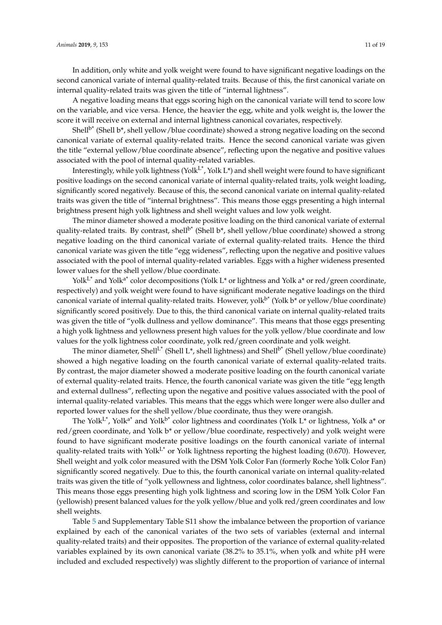In addition, only white and yolk weight were found to have significant negative loadings on the second canonical variate of internal quality-related traits. Because of this, the first canonical variate on internal quality-related traits was given the title of "internal lightness".

A negative loading means that eggs scoring high on the canonical variate will tend to score low on the variable, and vice versa. Hence, the heavier the egg, white and yolk weight is, the lower the score it will receive on external and internal lightness canonical covariates, respectively.

Shell<sup>b\*</sup> (Shell b<sup>\*</sup>, shell yellow/blue coordinate) showed a strong negative loading on the second canonical variate of external quality-related traits. Hence the second canonical variate was given the title "external yellow/blue coordinate absence", reflecting upon the negative and positive values associated with the pool of internal quality-related variables.

Interestingly, while yolk lightness (Yolk<sup>L\*</sup>, Yolk L\*) and shell weight were found to have significant positive loadings on the second canonical variate of internal quality-related traits, yolk weight loading, significantly scored negatively. Because of this, the second canonical variate on internal quality-related traits was given the title of "internal brightness". This means those eggs presenting a high internal brightness present high yolk lightness and shell weight values and low yolk weight.

The minor diameter showed a moderate positive loading on the third canonical variate of external quality-related traits. By contrast, shell<sup>b\*</sup> (Shell b\*, shell yellow/blue coordinate) showed a strong negative loading on the third canonical variate of external quality-related traits. Hence the third canonical variate was given the title "egg wideness", reflecting upon the negative and positive values associated with the pool of internal quality-related variables. Eggs with a higher wideness presented lower values for the shell yellow/blue coordinate.

Yolk<sup>L\*</sup> and Yolk<sup>a\*</sup> color decompositions (Yolk L<sup>\*</sup> or lightness and Yolk a<sup>\*</sup> or red/green coordinate, respectively) and yolk weight were found to have significant moderate negative loadings on the third canonical variate of internal quality-related traits. However, yolk<sup>b\*</sup> (Yolk b\* or yellow/blue coordinate) significantly scored positively. Due to this, the third canonical variate on internal quality-related traits was given the title of "yolk dullness and yellow dominance". This means that those eggs presenting a high yolk lightness and yellowness present high values for the yolk yellow/blue coordinate and low values for the yolk lightness color coordinate, yolk red/green coordinate and yolk weight.

The minor diameter, Shell<sup>L\*</sup> (Shell L\*, shell lightness) and Shell<sup>b\*</sup> (Shell yellow/blue coordinate) showed a high negative loading on the fourth canonical variate of external quality-related traits. By contrast, the major diameter showed a moderate positive loading on the fourth canonical variate of external quality-related traits. Hence, the fourth canonical variate was given the title "egg length and external dullness", reflecting upon the negative and positive values associated with the pool of internal quality-related variables. This means that the eggs which were longer were also duller and reported lower values for the shell yellow/blue coordinate, thus they were orangish.

The Yolk<sup>L\*</sup>, Yolk<sup>a\*</sup> and Yolk<sup>b\*</sup> color lightness and coordinates (Yolk L<sup>\*</sup> or lightness, Yolk a<sup>\*</sup> or red/green coordinate, and Yolk b\* or yellow/blue coordinate, respectively) and yolk weight were found to have significant moderate positive loadings on the fourth canonical variate of internal quality-related traits with Yolk<sup>L\*</sup> or Yolk lightness reporting the highest loading (0.670). However, Shell weight and yolk color measured with the DSM Yolk Color Fan (formerly Roche Yolk Color Fan) significantly scored negatively. Due to this, the fourth canonical variate on internal quality-related traits was given the title of "yolk yellowness and lightness, color coordinates balance, shell lightness". This means those eggs presenting high yolk lightness and scoring low in the DSM Yolk Color Fan (yellowish) present balanced values for the yolk yellow/blue and yolk red/green coordinates and low shell weights.

Table [5](#page-11-0) and Supplementary Table S11 show the imbalance between the proportion of variance explained by each of the canonical variates of the two sets of variables (external and internal quality-related traits) and their opposites. The proportion of the variance of external quality-related variables explained by its own canonical variate (38.2% to 35.1%, when yolk and white pH were included and excluded respectively) was slightly different to the proportion of variance of internal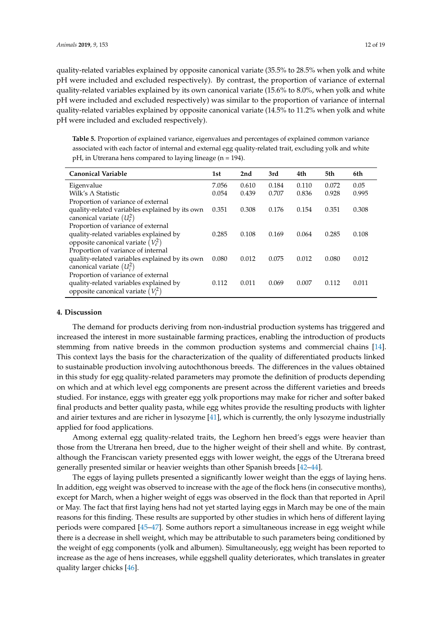quality-related variables explained by opposite canonical variate (35.5% to 28.5% when yolk and white pH were included and excluded respectively). By contrast, the proportion of variance of external quality-related variables explained by its own canonical variate (15.6% to 8.0%, when yolk and white pH were included and excluded respectively) was similar to the proportion of variance of internal quality-related variables explained by opposite canonical variate (14.5% to 11.2% when yolk and white pH were included and excluded respectively).

<span id="page-11-0"></span>**Table 5.** Proportion of explained variance, eigenvalues and percentages of explained common variance associated with each factor of internal and external egg quality-related trait, excluding yolk and white pH, in Utrerana hens compared to laying lineage (n = 194).

| <b>Canonical Variable</b>                      | 1st   | 2nd   | 3rd   | 4th   | 5th   | 6th   |
|------------------------------------------------|-------|-------|-------|-------|-------|-------|
| Eigenvalue                                     | 7.056 | 0.610 | 0.184 | 0.110 | 0.072 | 0.05  |
| Wilk's $\wedge$ Statistic                      | 0.054 | 0.439 | 0.707 | 0.836 | 0.928 | 0.995 |
| Proportion of variance of external             |       |       |       |       |       |       |
| quality-related variables explained by its own | 0.351 | 0.308 | 0.176 | 0.154 | 0.351 | 0.308 |
| canonical variate $(U_e^2)$                    |       |       |       |       |       |       |
| Proportion of variance of external             |       |       |       |       |       |       |
| quality-related variables explained by         | 0.285 | 0.108 | 0.169 | 0.064 | 0.285 | 0.108 |
| opposite canonical variate $(V_e^2)$           |       |       |       |       |       |       |
| Proportion of variance of internal             |       |       |       |       |       |       |
| quality-related variables explained by its own | 0.080 | 0.012 | 0.075 | 0.012 | 0.080 | 0.012 |
| canonical variate $(U_i^2)$                    |       |       |       |       |       |       |
| Proportion of variance of external             |       |       |       |       |       |       |
| quality-related variables explained by         | 0.112 | 0.011 | 0.069 | 0.007 | 0.112 | 0.011 |
| opposite canonical variate $(V_i^2)$           |       |       |       |       |       |       |

## **4. Discussion**

The demand for products deriving from non-industrial production systems has triggered and increased the interest in more sustainable farming practices, enabling the introduction of products stemming from native breeds in the common production systems and commercial chains [\[14\]](#page-15-13). This context lays the basis for the characterization of the quality of differentiated products linked to sustainable production involving autochthonous breeds. The differences in the values obtained in this study for egg quality-related parameters may promote the definition of products depending on which and at which level egg components are present across the different varieties and breeds studied. For instance, eggs with greater egg yolk proportions may make for richer and softer baked final products and better quality pasta, while egg whites provide the resulting products with lighter and airier textures and are richer in lysozyme [\[41\]](#page-16-19), which is currently, the only lysozyme industrially applied for food applications.

Among external egg quality-related traits, the Leghorn hen breed's eggs were heavier than those from the Utrerana hen breed, due to the higher weight of their shell and white. By contrast, although the Franciscan variety presented eggs with lower weight, the eggs of the Utrerana breed generally presented similar or heavier weights than other Spanish breeds [\[42–](#page-16-20)[44\]](#page-16-21).

The eggs of laying pullets presented a significantly lower weight than the eggs of laying hens. In addition, egg weight was observed to increase with the age of the flock hens (in consecutive months), except for March, when a higher weight of eggs was observed in the flock than that reported in April or May. The fact that first laying hens had not yet started laying eggs in March may be one of the main reasons for this finding. These results are supported by other studies in which hens of different laying periods were compared [\[45](#page-17-0)[–47\]](#page-17-1). Some authors report a simultaneous increase in egg weight while there is a decrease in shell weight, which may be attributable to such parameters being conditioned by the weight of egg components (yolk and albumen). Simultaneously, egg weight has been reported to increase as the age of hens increases, while eggshell quality deteriorates, which translates in greater quality larger chicks [\[46\]](#page-17-2).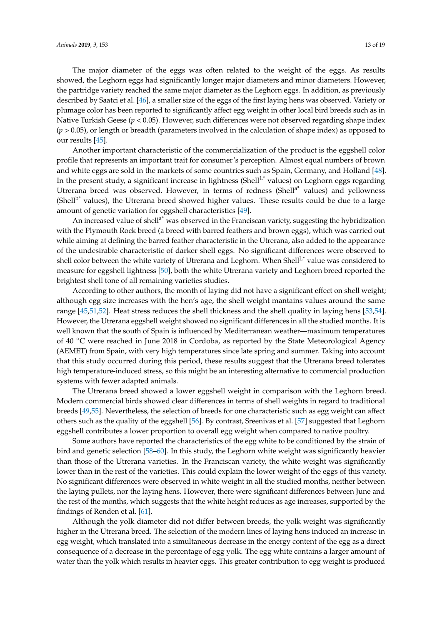The major diameter of the eggs was often related to the weight of the eggs. As results showed, the Leghorn eggs had significantly longer major diameters and minor diameters. However, the partridge variety reached the same major diameter as the Leghorn eggs. In addition, as previously described by Saatci et al. [\[46\]](#page-17-2), a smaller size of the eggs of the first laying hens was observed. Variety or plumage color has been reported to significantly affect egg weight in other local bird breeds such as in Native Turkish Geese ( $p < 0.05$ ). However, such differences were not observed regarding shape index (*p* > 0.05), or length or breadth (parameters involved in the calculation of shape index) as opposed to our results [\[45\]](#page-17-0).

Another important characteristic of the commercialization of the product is the eggshell color profile that represents an important trait for consumer's perception. Almost equal numbers of brown and white eggs are sold in the markets of some countries such as Spain, Germany, and Holland [\[48\]](#page-17-3). In the present study, a significant increase in lightness (Shell $L^*$  values) on Leghorn eggs regarding Utrerana breed was observed. However, in terms of redness (Shell<sup>a\*</sup> values) and yellowness (Shell $b^*$  values), the Utrerana breed showed higher values. These results could be due to a large amount of genetic variation for eggshell characteristics [\[49\]](#page-17-4).

An increased value of shell<sup>a\*</sup> was observed in the Franciscan variety, suggesting the hybridization with the Plymouth Rock breed (a breed with barred feathers and brown eggs), which was carried out while aiming at defining the barred feather characteristic in the Utrerana, also added to the appearance of the undesirable characteristic of darker shell eggs. No significant differences were observed to shell color between the white variety of Utrerana and Leghorn. When Shell<sup>L\*</sup> value was considered to measure for eggshell lightness [\[50\]](#page-17-5), both the white Utrerana variety and Leghorn breed reported the brightest shell tone of all remaining varieties studies.

According to other authors, the month of laying did not have a significant effect on shell weight; although egg size increases with the hen's age, the shell weight mantains values around the same range [\[45,](#page-17-0)[51,](#page-17-6)[52\]](#page-17-7). Heat stress reduces the shell thickness and the shell quality in laying hens [\[53,](#page-17-8)[54\]](#page-17-9). However, the Utrerana eggshell weight showed no significant differences in all the studied months. It is well known that the south of Spain is influenced by Mediterranean weather—maximum temperatures of 40 ◦C were reached in June 2018 in Cordoba, as reported by the State Meteorological Agency (AEMET) from Spain, with very high temperatures since late spring and summer. Taking into account that this study occurred during this period, these results suggest that the Utrerana breed tolerates high temperature-induced stress, so this might be an interesting alternative to commercial production systems with fewer adapted animals.

The Utrerana breed showed a lower eggshell weight in comparison with the Leghorn breed. Modern commercial birds showed clear differences in terms of shell weights in regard to traditional breeds [\[49,](#page-17-4)[55\]](#page-17-10). Nevertheless, the selection of breeds for one characteristic such as egg weight can affect others such as the quality of the eggshell [\[56\]](#page-17-11). By contrast, Sreenivas et al. [\[57\]](#page-17-12) suggested that Leghorn eggshell contributes a lower proportion to overall egg weight when compared to native poultry.

Some authors have reported the characteristics of the egg white to be conditioned by the strain of bird and genetic selection [\[58](#page-17-13)[–60\]](#page-17-14). In this study, the Leghorn white weight was significantly heavier than those of the Utrerana varieties. In the Franciscan variety, the white weight was significantly lower than in the rest of the varieties. This could explain the lower weight of the eggs of this variety. No significant differences were observed in white weight in all the studied months, neither between the laying pullets, nor the laying hens. However, there were significant differences between June and the rest of the months, which suggests that the white height reduces as age increases, supported by the findings of Renden et al. [\[61\]](#page-17-15).

Although the yolk diameter did not differ between breeds, the yolk weight was significantly higher in the Utrerana breed. The selection of the modern lines of laying hens induced an increase in egg weight, which translated into a simultaneous decrease in the energy content of the egg as a direct consequence of a decrease in the percentage of egg yolk. The egg white contains a larger amount of water than the yolk which results in heavier eggs. This greater contribution to egg weight is produced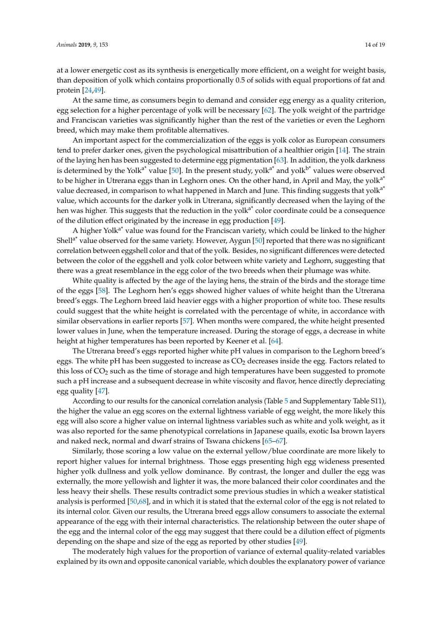at a lower energetic cost as its synthesis is energetically more efficient, on a weight for weight basis, than deposition of yolk which contains proportionally 0.5 of solids with equal proportions of fat and protein [\[24](#page-16-4)[,49\]](#page-17-4).

At the same time, as consumers begin to demand and consider egg energy as a quality criterion, egg selection for a higher percentage of yolk will be necessary [\[62\]](#page-17-16). The yolk weight of the partridge and Franciscan varieties was significantly higher than the rest of the varieties or even the Leghorn breed, which may make them profitable alternatives.

An important aspect for the commercialization of the eggs is yolk color as European consumers tend to prefer darker ones, given the psychological misattribution of a healthier origin [\[14\]](#page-15-13). The strain of the laying hen has been suggested to determine egg pigmentation [\[63\]](#page-17-17). In addition, the yolk darkness is determined by the Yolk<sup>a\*</sup> value [\[50\]](#page-17-5). In the present study, yolk<sup>a\*</sup> and yolk<sup>b\*</sup> values were observed to be higher in Utrerana eggs than in Leghorn ones. On the other hand, in April and May, the yolk<sup>a\*</sup> value decreased, in comparison to what happened in March and June. This finding suggests that yolk<sup>a\*</sup> value, which accounts for the darker yolk in Utrerana, significantly decreased when the laying of the hen was higher. This suggests that the reduction in the yolk<sup>a\*</sup> color coordinate could be a consequence of the dilution effect originated by the increase in egg production [\[49\]](#page-17-4).

A higher Yolk<sup>a\*</sup> value was found for the Franciscan variety, which could be linked to the higher Shell<sup>a\*</sup> value observed for the same variety. However, Aygun [\[50\]](#page-17-5) reported that there was no significant correlation between eggshell color and that of the yolk. Besides, no significant differences were detected between the color of the eggshell and yolk color between white variety and Leghorn, suggesting that there was a great resemblance in the egg color of the two breeds when their plumage was white.

White quality is affected by the age of the laying hens, the strain of the birds and the storage time of the eggs [\[58\]](#page-17-13). The Leghorn hen's eggs showed higher values of white height than the Utrerana breed's eggs. The Leghorn breed laid heavier eggs with a higher proportion of white too. These results could suggest that the white height is correlated with the percentage of white, in accordance with similar observations in earlier reports [\[57\]](#page-17-12). When months were compared, the white height presented lower values in June, when the temperature increased. During the storage of eggs, a decrease in white height at higher temperatures has been reported by Keener et al. [\[64\]](#page-17-18).

The Utrerana breed's eggs reported higher white pH values in comparison to the Leghorn breed's eggs. The white pH has been suggested to increase as  $CO<sub>2</sub>$  decreases inside the egg. Factors related to this loss of  $CO<sub>2</sub>$  such as the time of storage and high temperatures have been suggested to promote such a pH increase and a subsequent decrease in white viscosity and flavor, hence directly depreciating egg quality [\[47\]](#page-17-1).

According to our results for the canonical correlation analysis (Table [5](#page-11-0) and Supplementary Table S11), the higher the value an egg scores on the external lightness variable of egg weight, the more likely this egg will also score a higher value on internal lightness variables such as white and yolk weight, as it was also reported for the same phenotypical correlations in Japanese quails, exotic Isa brown layers and naked neck, normal and dwarf strains of Tswana chickens [\[65–](#page-17-19)[67\]](#page-18-0).

Similarly, those scoring a low value on the external yellow/blue coordinate are more likely to report higher values for internal brightness. Those eggs presenting high egg wideness presented higher yolk dullness and yolk yellow dominance. By contrast, the longer and duller the egg was externally, the more yellowish and lighter it was, the more balanced their color coordinates and the less heavy their shells. These results contradict some previous studies in which a weaker statistical analysis is performed [\[50](#page-17-5)[,68\]](#page-18-1), and in which it is stated that the external color of the egg is not related to its internal color. Given our results, the Utrerana breed eggs allow consumers to associate the external appearance of the egg with their internal characteristics. The relationship between the outer shape of the egg and the internal color of the egg may suggest that there could be a dilution effect of pigments depending on the shape and size of the egg as reported by other studies [\[49\]](#page-17-4).

The moderately high values for the proportion of variance of external quality-related variables explained by its own and opposite canonical variable, which doubles the explanatory power of variance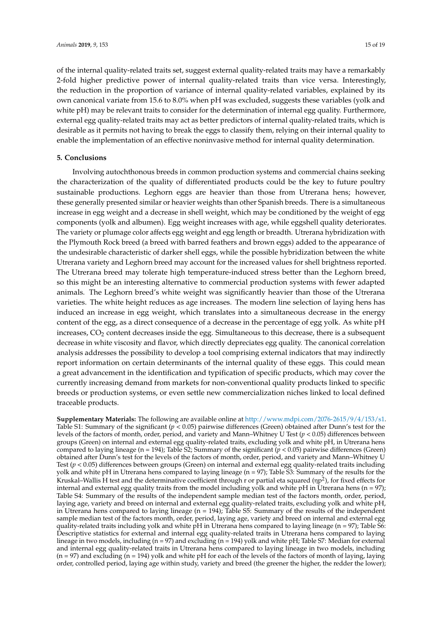of the internal quality-related traits set, suggest external quality-related traits may have a remarkably 2-fold higher predictive power of internal quality-related traits than vice versa. Interestingly, the reduction in the proportion of variance of internal quality-related variables, explained by its own canonical variate from 15.6 to 8.0% when pH was excluded, suggests these variables (yolk and white pH) may be relevant traits to consider for the determination of internal egg quality. Furthermore, external egg quality-related traits may act as better predictors of internal quality-related traits, which is desirable as it permits not having to break the eggs to classify them, relying on their internal quality to enable the implementation of an effective noninvasive method for internal quality determination.

# **5. Conclusions**

Involving autochthonous breeds in common production systems and commercial chains seeking the characterization of the quality of differentiated products could be the key to future poultry sustainable productions. Leghorn eggs are heavier than those from Utrerana hens; however, these generally presented similar or heavier weights than other Spanish breeds. There is a simultaneous increase in egg weight and a decrease in shell weight, which may be conditioned by the weight of egg components (yolk and albumen). Egg weight increases with age, while eggshell quality deteriorates. The variety or plumage color affects egg weight and egg length or breadth. Utrerana hybridization with the Plymouth Rock breed (a breed with barred feathers and brown eggs) added to the appearance of the undesirable characteristic of darker shell eggs, while the possible hybridization between the white Utrerana variety and Leghorn breed may account for the increased values for shell brightness reported. The Utrerana breed may tolerate high temperature-induced stress better than the Leghorn breed, so this might be an interesting alternative to commercial production systems with fewer adapted animals. The Leghorn breed's white weight was significantly heavier than those of the Utrerana varieties. The white height reduces as age increases. The modern line selection of laying hens has induced an increase in egg weight, which translates into a simultaneous decrease in the energy content of the egg, as a direct consequence of a decrease in the percentage of egg yolk. As white pH increases,  $CO<sub>2</sub>$  content decreases inside the egg. Simultaneous to this decrease, there is a subsequent decrease in white viscosity and flavor, which directly depreciates egg quality. The canonical correlation analysis addresses the possibility to develop a tool comprising external indicators that may indirectly report information on certain determinants of the internal quality of these eggs. This could mean a great advancement in the identification and typification of specific products, which may cover the currently increasing demand from markets for non-conventional quality products linked to specific breeds or production systems, or even settle new commercialization niches linked to local defined traceable products.

**Supplementary Materials:** The following are available online at [http://www.mdpi.com/2076-2615/9/4/153/s1.](http://www.mdpi.com/2076-2615/9/4/153/s1) Table S1: Summary of the significant ( $p < 0.05$ ) pairwise differences (Green) obtained after Dunn's test for the levels of the factors of month, order, period, and variety and Mann–Whitney U Test (*p* < 0.05) differences between groups (Green) on internal and external egg quality-related traits, excluding yolk and white pH, in Utrerana hens compared to laying lineage (n = 194); Table S2; Summary of the significant  $(p < 0.05)$  pairwise differences (Green) obtained after Dunn's test for the levels of the factors of month, order, period, and variety and Mann–Whitney U Test (*p* < 0.05) differences between groups (Green) on internal and external egg quality-related traits including yolk and white pH in Utrerana hens compared to laying lineage (n = 97); Table S3: Summary of the results for the Kruskal–Wallis H test and the determinative coefficient through r or partial eta squared (ηp<sup>2</sup>), for fixed effects for internal and external egg quality traits from the model including yolk and white  $pH$  in Utrerana hens (n = 97); Table S4: Summary of the results of the independent sample median test of the factors month, order, period, laying age, variety and breed on internal and external egg quality-related traits, excluding yolk and white pH, in Utrerana hens compared to laying lineage (n = 194); Table S5: Summary of the results of the independent sample median test of the factors month, order, period, laying age, variety and breed on internal and external egg quality-related traits including yolk and white pH in Utrerana hens compared to laying lineage ( $n = 97$ ); Table S6: Descriptive statistics for external and internal egg quality-related traits in Utrerana hens compared to laying lineage in two models, including (n = 97) and excluding (n = 194) yolk and white pH; Table S7: Median for external and internal egg quality-related traits in Utrerana hens compared to laying lineage in two models, including  $(n = 97)$  and excluding  $(n = 194)$  yolk and white pH for each of the levels of the factors of month of laying, laying order, controlled period, laying age within study, variety and breed (the greener the higher, the redder the lower);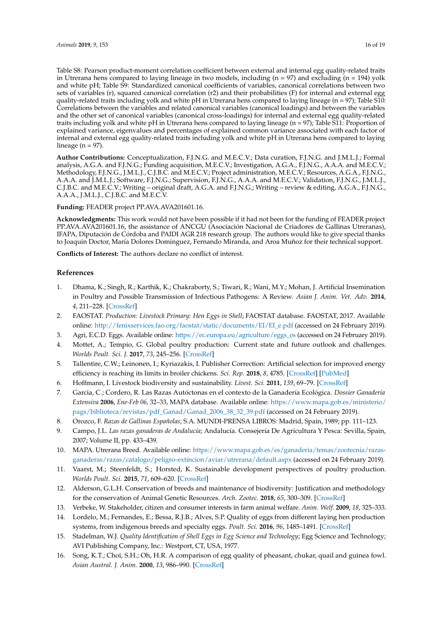Table S8: Pearson product-moment correlation coefficient between external and internal egg quality-related traits in Utrerana hens compared to laying lineage in two models, including (n = 97) and excluding (n = 194) yolk and white pH; Table S9: Standardized canonical coefficients of variables, canonical correlations between two sets of variables (r), squared canonical correlation (r2) and their probabilities (F) for internal and external egg quality-related traits including yolk and white pH in Utrerana hens compared to laying lineage ( $n = 97$ ); Table S10: Correlations between the variables and related canonical variables (canonical loadings) and between the variables and the other set of canonical variables (canonical cross-loadings) for internal and external egg quality-related traits including yolk and white pH in Utrerana hens compared to laying lineage (n = 97); Table S11: Proportion of explained variance, eigenvalues and percentages of explained common variance associated with each factor of internal and external egg quality-related traits including yolk and white pH in Utrerana hens compared to laying lineage ( $n = 97$ ).

**Author Contributions:** Conceptualization, F.J.N.G. and M.E.C.V.; Data curation, F.J.N.G. and J.M.L.J.; Formal analysis, A.G.A. and F.J.N.G.; Funding acquisition, M.E.C.V.; Investigation, A.G.A., F.J.N.G., A.A.A. and M.E.C.V.; Methodology, F.J.N.G., J.M.L.J., C.J.B.C. and M.E.C.V.; Project administration, M.E.C.V.; Resources, A.G.A., F.J.N.G., A.A.A. and J.M.L.J.; Software, F.J.N.G.; Supervision, F.J.N.G., A.A.A. and M.E.C.V.; Validation, F.J.N.G., J.M.L.J., C.J.B.C. and M.E.C.V.; Writing – original draft, A.G.A. and F.J.N.G.; Writing – review & editing, A.G.A., F.J.N.G., A.A.A., J.M.L.J., C.J.B.C. and M.E.C.V.

**Funding:** FEADER project PP.AVA.AVA201601.16.

**Acknowledgments:** This work would not have been possible if it had not been for the funding of FEADER project PP.AVA.AVA201601.16, the assistance of ANCGU (Asociación Nacional de Criadores de Gallinas Utreranas), IFAPA, Diputación de Córdoba and PAIDI AGR 218 research group. The authors would like to give special thanks to Joaquin Doctor, María Dolores Dominguez, Fernando Miranda, and Aroa Muñoz for their technical support.

**Conflicts of Interest:** The authors declare no conflict of interest.

# **References**

- <span id="page-15-0"></span>1. Dhama, K.; Singh, R.; Karthik, K.; Chakraborty, S.; Tiwari, R.; Wani, M.Y.; Mohan, J. Artificial Insemination in Poultry and Possible Transmission of Infectious Pathogens: A Review. *Asian J. Anim. Vet. Adv.* **2014**, *4*, 211–228. [\[CrossRef\]](http://dx.doi.org/10.3923/ajava.2014.211.228)
- <span id="page-15-1"></span>2. FAOSTAT. *Production: Livestock Primary: Hen Eggs in Shell*; FAOSTAT database. FAOSTAT, 2017. Available online: [http://fenixservices.fao.org/faostat/static/documents/EI/EI\\_e.pdf](http://fenixservices.fao.org/faostat/static/documents/EI/EI_e.pdf) (accessed on 24 February 2019).
- <span id="page-15-2"></span>3. Agri, E.C.D. Eggs. Available online: [https://ec.europa.eu/agriculture/eggs\\_es](https://ec.europa.eu/agriculture/eggs_es) (accessed on 24 February 2019).
- <span id="page-15-3"></span>4. Mottet, A.; Tempio, G. Global poultry production: Current state and future outlook and challenges. *Worlds Poult. Sci. J.* **2017**, *73*, 245–256. [\[CrossRef\]](http://dx.doi.org/10.1017/S0043933917000071)
- <span id="page-15-4"></span>5. Tallentire, C.W.; Leinonen, I.; Kyriazakis, I. Publisher Correction: Artificial selection for improved energy efficiency is reaching its limits in broiler chickens. *Sci. Rep.* **2018**, *8*, 4785. [\[CrossRef\]](http://dx.doi.org/10.1038/s41598-018-23133-8) [\[PubMed\]](http://www.ncbi.nlm.nih.gov/pubmed/29540754)
- <span id="page-15-5"></span>6. Hoffmann, I. Livestock biodiversity and sustainability. *Livest. Sci.* **2011**, *139*, 69–79. [\[CrossRef\]](http://dx.doi.org/10.1016/j.livsci.2011.03.016)
- <span id="page-15-6"></span>7. Garcia, C.; Cordero, R. Las Razas Autóctonas en el contexto de la Ganadería Ecológica. *Dossier Ganadería Extensiva* **2006**, *Ene-Feb 06*, 32–33, MAPA database. Available online: [https://www.mapa.gob.es/ministerio/](https://www.mapa.gob.es/ministerio/pags/biblioteca/revistas/pdf_Ganad/Ganad_2006_38_32_39.pdf) [pags/biblioteca/revistas/pdf\\_Ganad/Ganad\\_2006\\_38\\_32\\_39.pdf](https://www.mapa.gob.es/ministerio/pags/biblioteca/revistas/pdf_Ganad/Ganad_2006_38_32_39.pdf) (accessed on 24 February 2019).
- <span id="page-15-7"></span>8. Orozco, F. *Razas de Gallinas Españolas*; S.A. MUNDI-PRENSA LIBROS: Madrid, Spain, 1989; pp. 111–123.
- <span id="page-15-8"></span>9. Campo, J.L. *Las razas ganaderas de Andalucía*; Andalucía. Consejería De Agricultura Y Pesca: Sevilla, Spain, 2007; Volume II, pp. 433–439.
- <span id="page-15-9"></span>10. MAPA. Utrerana Breed. Available online: [https://www.mapa.gob.es/es/ganaderia/temas/zootecnia/razas](https://www.mapa.gob.es/es/ganaderia/temas/zootecnia/razas-ganaderas/razas/catalogo/peligro-extincion/aviar/utrerana/default.aspx)[ganaderas/razas/catalogo/peligro-extincion/aviar/utrerana/default.aspx](https://www.mapa.gob.es/es/ganaderia/temas/zootecnia/razas-ganaderas/razas/catalogo/peligro-extincion/aviar/utrerana/default.aspx) (accessed on 24 February 2019).
- <span id="page-15-10"></span>11. Vaarst, M.; Steenfeldt, S.; Horsted, K. Sustainable development perspectives of poultry production. *Worlds Poult. Sci.* **2015**, *71*, 609–620. [\[CrossRef\]](http://dx.doi.org/10.1017/S0043933915002433)
- <span id="page-15-11"></span>12. Alderson, G.L.H. Conservation of breeds and maintenance of biodiversity: Justification and methodology for the conservation of Animal Genetic Resources. *Arch. Zootec.* **2018**, *65*, 300–309. [\[CrossRef\]](http://dx.doi.org/10.21071/az.v67i258.3668)
- <span id="page-15-12"></span>13. Verbeke, W. Stakeholder, citizen and consumer interests in farm animal welfare. *Anim. Welf.* **2009**, *18*, 325–333.
- <span id="page-15-13"></span>14. Lordelo, M.; Fernandes, E.; Bessa, R.J.B.; Alves, S.P. Quality of eggs from different laying hen production systems, from indigenous breeds and specialty eggs. *Poult. Sci.* **2016**, *96*, 1485–1491. [\[CrossRef\]](http://dx.doi.org/10.3382/ps/pew409)
- <span id="page-15-14"></span>15. Stadelman, W.J. *Quality Identification of Shell Eggs in Egg Science and Technology*; Egg Science and Technology; AVI Publishing Company, Inc.: Westport, CT, USA, 1977.
- <span id="page-15-15"></span>16. Song, K.T.; Choi, S.H.; Oh, H.R. A comparison of egg quality of pheasant, chukar, quail and guinea fowl. *Asian Austral. J. Anim.* **2000**, *13*, 986–990. [\[CrossRef\]](http://dx.doi.org/10.5713/ajas.2000.986)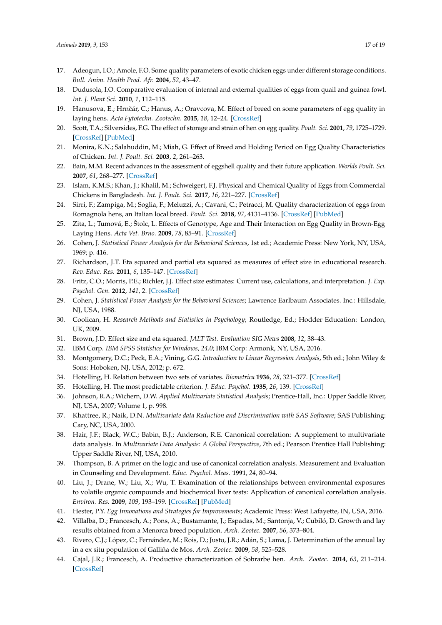- <span id="page-16-7"></span><span id="page-16-6"></span>17. Adeogun, I.O.; Amole, F.O. Some quality parameters of exotic chicken eggs under different storage conditions. *Bull. Anim. Health Prod. Afr.* **2004**, *52*, 43–47.
- 18. Dudusola, I.O. Comparative evaluation of internal and external qualities of eggs from quail and guinea fowl. *Int. J. Plant Sci.* **2010**, *1*, 112–115.
- <span id="page-16-0"></span>19. Hanusova, E.; Hrnˇcár, C.; Hanus, A.; Oravcova, M. Effect of breed on some parameters of egg quality in laying hens. *Acta Fytotechn. Zootechn.* **2015**, *18*, 12–24. [\[CrossRef\]](http://dx.doi.org/10.15414/afz.2015.18.01.12-24)
- <span id="page-16-1"></span>20. Scott, T.A.; Silversides, F.G. The effect of storage and strain of hen on egg quality. *Poult. Sci.* **2001**, *79*, 1725–1729. [\[CrossRef\]](http://dx.doi.org/10.1093/ps/79.12.1725) [\[PubMed\]](http://www.ncbi.nlm.nih.gov/pubmed/11194033)
- <span id="page-16-2"></span>21. Monira, K.N.; Salahuddin, M.; Miah, G. Effect of Breed and Holding Period on Egg Quality Characteristics of Chicken. *Int. J. Poult. Sci.* **2003**, *2*, 261–263.
- <span id="page-16-3"></span>22. Bain, M.M. Recent advances in the assessment of eggshell quality and their future application. *Worlds Poult. Sci.* **2007**, *61*, 268–277. [\[CrossRef\]](http://dx.doi.org/10.1079/WPS200459)
- 23. Islam, K.M.S.; Khan, J.; Khalil, M.; Schweigert, F.J. Physical and Chemical Quality of Eggs from Commercial Chickens in Bangladesh. *Int. J. Poult. Sci.* **2017**, *16*, 221–227. [\[CrossRef\]](http://dx.doi.org/10.3923/ijps.2017.221.227)
- <span id="page-16-4"></span>24. Sirri, F.; Zampiga, M.; Soglia, F.; Meluzzi, A.; Cavani, C.; Petracci, M. Quality characterization of eggs from Romagnola hens, an Italian local breed. *Poult. Sci.* **2018**, *97*, 4131–4136. [\[CrossRef\]](http://dx.doi.org/10.3382/ps/pey275) [\[PubMed\]](http://www.ncbi.nlm.nih.gov/pubmed/30007345)
- <span id="page-16-5"></span>25. Zita, L.; Tumová, E.; Štolc, L. Effects of Genotype, Age and Their Interaction on Egg Quality in Brown-Egg Laying Hens. *Acta Vet. Brno.* **2009**, *78*, 85–91. [\[CrossRef\]](http://dx.doi.org/10.2754/avb200978010085)
- 26. Cohen, J. *Statistical Power Analysis for the Behavioral Sciences*, 1st ed.; Academic Press: New York, NY, USA, 1969; p. 416.
- 27. Richardson, J.T. Eta squared and partial eta squared as measures of effect size in educational research. *Rev. Educ. Res.* **2011**, *6*, 135–147. [\[CrossRef\]](http://dx.doi.org/10.1016/j.edurev.2010.12.001)
- <span id="page-16-8"></span>28. Fritz, C.O.; Morris, P.E.; Richler, J.J. Effect size estimates: Current use, calculations, and interpretation. *J. Exp. Psychol. Gen.* **2012**, *141*, 2. [\[CrossRef\]](http://dx.doi.org/10.1037/a0024338)
- <span id="page-16-9"></span>29. Cohen, J. *Statistical Power Analysis for the Behavioral Sciences*; Lawrence Earlbaum Associates. Inc.: Hillsdale, NJ, USA, 1988.
- <span id="page-16-10"></span>30. Coolican, H. *Research Methods and Statistics in Psychology*; Routledge, Ed.; Hodder Education: London, UK, 2009.
- <span id="page-16-11"></span>31. Brown, J.D. Effect size and eta squared. *JALT Test. Evaluation SIG News* **2008**, *12*, 38–43.
- <span id="page-16-12"></span>32. IBM Corp. *IBM SPSS Statistics for Windows, 24.0*; IBM Corp: Armonk, NY, USA, 2016.
- <span id="page-16-13"></span>33. Montgomery, D.C.; Peck, E.A.; Vining, G.G. *Introduction to Linear Regression Analysis*, 5th ed.; John Wiley & Sons: Hoboken, NJ, USA, 2012; p. 672.
- <span id="page-16-14"></span>34. Hotelling, H. Relation between two sets of variates. *Biometrica* **1936**, *28*, 321–377. [\[CrossRef\]](http://dx.doi.org/10.1093/biomet/28.3-4.321)
- <span id="page-16-15"></span>35. Hotelling, H. The most predictable criterion. *J. Educ. Psychol.* **1935**, *26*, 139. [\[CrossRef\]](http://dx.doi.org/10.1037/h0058165)
- <span id="page-16-16"></span>36. Johnson, R.A.; Wichern, D.W. *Applied Multivariate Statistical Analysis*; Prentice-Hall, Inc.: Upper Saddle River, NJ, USA, 2007; Volume 1, p. 998.
- <span id="page-16-17"></span>37. Khattree, R.; Naik, D.N. *Multivariate data Reduction and Discrimination with SAS Software*; SAS Publishing: Cary, NC, USA, 2000.
- <span id="page-16-18"></span>38. Hair, J.F.; Black, W.C.; Babin, B.J.; Anderson, R.E. Canonical correlation: A supplement to multivariate data analysis. In *Multivariate Data Analysis: A Global Perspective*, 7th ed.; Pearson Prentice Hall Publishing: Upper Saddle River, NJ, USA, 2010.
- 39. Thompson, B. A primer on the logic and use of canonical correlation analysis. Measurement and Evaluation in Counseling and Development. *Educ. Psychol. Meas.* **1991**, *24*, 80–94.
- 40. Liu, J.; Drane, W.; Liu, X.; Wu, T. Examination of the relationships between environmental exposures to volatile organic compounds and biochemical liver tests: Application of canonical correlation analysis. *Environ. Res.* **2009**, *109*, 193–199. [\[CrossRef\]](http://dx.doi.org/10.1016/j.envres.2008.11.002) [\[PubMed\]](http://www.ncbi.nlm.nih.gov/pubmed/19117555)
- <span id="page-16-19"></span>41. Hester, P.Y. *Egg Innovations and Strategies for Improvements*; Academic Press: West Lafayette, IN, USA, 2016.
- <span id="page-16-20"></span>42. Villalba, D.; Francesch, A.; Pons, A.; Bustamante, J.; Espadas, M.; Santonja, V.; Cubiló, D. Growth and lay results obtained from a Menorca breed population. *Arch. Zootec.* **2007**, *56*, 373–804.
- 43. Rivero, C.J.; López, C.; Fernández, M.; Rois, D.; Justo, J.R.; Adán, S.; Lama, J. Determination of the annual lay in a ex situ population of Galliña de Mos. *Arch. Zootec.* **2009**, *58*, 525–528.
- <span id="page-16-21"></span>44. Cajal, J.R.; Francesch, A. Productive characterization of Sobrarbe hen. *Arch. Zootec.* **2014**, *63*, 211–214. [\[CrossRef\]](http://dx.doi.org/10.4321/S0004-05922014000100023)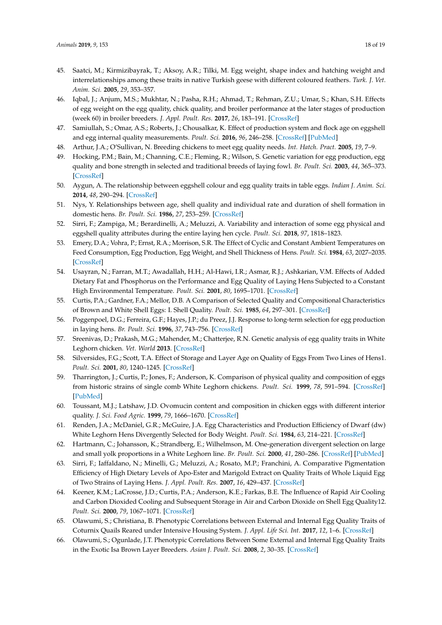- <span id="page-17-0"></span>45. Saatci, M.; Kirmizibayrak, T.; Aksoy, A.R.; Tilki, M. Egg weight, shape index and hatching weight and interrelationships among these traits in native Turkish geese with different coloured feathers. *Turk. J. Vet. Anim. Sci.* **2005**, *29*, 353–357.
- <span id="page-17-2"></span>46. Iqbal, J.; Anjum, M.S.; Mukhtar, N.; Pasha, R.H.; Ahmad, T.; Rehman, Z.U.; Umar, S.; Khan, S.H. Effects of egg weight on the egg quality, chick quality, and broiler performance at the later stages of production (week 60) in broiler breeders. *J. Appl. Poult. Res.* **2017**, *26*, 183–191. [\[CrossRef\]](http://dx.doi.org/10.1007/BF01897849)
- <span id="page-17-1"></span>47. Samiullah, S.; Omar, A.S.; Roberts, J.; Chousalkar, K. Effect of production system and flock age on eggshell and egg internal quality measurements. *Poult. Sci.* **2016**, *96*, 246–258. [\[CrossRef\]](http://dx.doi.org/10.3382/ps/pew289) [\[PubMed\]](http://www.ncbi.nlm.nih.gov/pubmed/27591274)
- <span id="page-17-3"></span>48. Arthur, J.A.; O'Sullivan, N. Breeding chickens to meet egg quality needs. *Int. Hatch. Pract.* **2005**, *19*, 7–9.
- <span id="page-17-4"></span>49. Hocking, P.M.; Bain, M.; Channing, C.E.; Fleming, R.; Wilson, S. Genetic variation for egg production, egg quality and bone strength in selected and traditional breeds of laying fowl. *Br. Poult. Sci.* **2003**, *44*, 365–373. [\[CrossRef\]](http://dx.doi.org/10.1080/0007166031000085535)
- <span id="page-17-5"></span>50. Aygun, A. The relationship between eggshell colour and egg quality traits in table eggs. *Indian J. Anim. Sci.* **2014**, *48*, 290–294. [\[CrossRef\]](http://dx.doi.org/10.5958/j.0976-0555.48.3.061)
- <span id="page-17-6"></span>51. Nys, Y. Relationships between age, shell quality and individual rate and duration of shell formation in domestic hens. *Br. Poult. Sci.* **1986**, *27*, 253–259. [\[CrossRef\]](http://dx.doi.org/10.1080/00071668608416878)
- <span id="page-17-7"></span>52. Sirri, F.; Zampiga, M.; Berardinelli, A.; Meluzzi, A. Variability and interaction of some egg physical and eggshell quality attributes during the entire laying hen cycle. *Poult. Sci.* **2018**, *97*, 1818–1823.
- <span id="page-17-8"></span>53. Emery, D.A.; Vohra, P.; Ernst, R.A.; Morrison, S.R. The Effect of Cyclic and Constant Ambient Temperatures on Feed Consumption, Egg Production, Egg Weight, and Shell Thickness of Hens. *Poult. Sci.* **1984**, *63*, 2027–2035. [\[CrossRef\]](http://dx.doi.org/10.3382/ps.0632027)
- <span id="page-17-9"></span>54. Usayran, N.; Farran, M.T.; Awadallah, H.H.; Al-Hawi, I.R.; Asmar, R.J.; Ashkarian, V.M. Effects of Added Dietary Fat and Phosphorus on the Performance and Egg Quality of Laying Hens Subjected to a Constant High Environmental Temperature. *Poult. Sci.* **2001**, *80*, 1695–1701. [\[CrossRef\]](http://dx.doi.org/10.1093/ps/80.12.1695)
- <span id="page-17-10"></span>55. Curtis, P.A.; Gardner, F.A.; Mellor, D.B. A Comparison of Selected Quality and Compositional Characteristics of Brown and White Shell Eggs: I. Shell Quality. *Poult. Sci.* **1985**, *64*, 297–301. [\[CrossRef\]](http://dx.doi.org/10.3382/ps.0640297)
- <span id="page-17-11"></span>56. Poggenpoel, D.G.; Ferreira, G.F.; Hayes, J.P.; du Preez, J.J. Response to long-term selection for egg production in laying hens. *Br. Poult. Sci.* **1996**, *37*, 743–756. [\[CrossRef\]](http://dx.doi.org/10.1080/00071669608417904)
- <span id="page-17-12"></span>57. Sreenivas, D.; Prakash, M.G.; Mahender, M.; Chatterjee, R.N. Genetic analysis of egg quality traits in White Leghorn chicken. *Vet. World* **2013**. [\[CrossRef\]](http://dx.doi.org/10.5455/vetworld.2013.263-266)
- <span id="page-17-13"></span>58. Silversides, F.G.; Scott, T.A. Effect of Storage and Layer Age on Quality of Eggs From Two Lines of Hens1. *Poult. Sci.* **2001**, *80*, 1240–1245. [\[CrossRef\]](http://dx.doi.org/10.1093/ps/80.8.1240)
- 59. Tharrington, J.; Curtis, P.; Jones, F.; Anderson, K. Comparison of physical quality and composition of eggs from historic strains of single comb White Leghorn chickens. *Poult. Sci.* **1999**, *78*, 591–594. [\[CrossRef\]](http://dx.doi.org/10.1093/ps/78.4.591) [\[PubMed\]](http://www.ncbi.nlm.nih.gov/pubmed/10230915)
- <span id="page-17-14"></span>60. Toussant, M.J.; Latshaw, J.D. Ovomucin content and composition in chicken eggs with different interior quality. *J. Sci. Food Agric.* **1999**, *79*, 1666–1670. [\[CrossRef\]](http://dx.doi.org/10.1002/(SICI)1097-0010(199909)79:12<1666::AID-JSFA416>3.0.CO;2-H)
- <span id="page-17-15"></span>61. Renden, J.A.; McDaniel, G.R.; McGuire, J.A. Egg Characteristics and Production Efficiency of Dwarf (dw) White Leghorn Hens Divergently Selected for Body Weight. *Poult. Sci.* **1984**, *63*, 214–221. [\[CrossRef\]](http://dx.doi.org/10.3382/ps.0630214)
- <span id="page-17-16"></span>62. Hartmann, C.; Johansson, K.; Strandberg, E.; Wilhelmson, M. One-generation divergent selection on large and small yolk proportions in a White Leghorn line. *Br. Poult. Sci.* **2000**, *41*, 280–286. [\[CrossRef\]](http://dx.doi.org/10.1080/713654930) [\[PubMed\]](http://www.ncbi.nlm.nih.gov/pubmed/11081421)
- <span id="page-17-17"></span>63. Sirri, F.; Iaffaldano, N.; Minelli, G.; Meluzzi, A.; Rosato, M.P.; Franchini, A. Comparative Pigmentation Efficiency of High Dietary Levels of Apo-Ester and Marigold Extract on Quality Traits of Whole Liquid Egg of Two Strains of Laying Hens. *J. Appl. Poult. Res.* **2007**, *16*, 429–437. [\[CrossRef\]](http://dx.doi.org/10.1093/japr/16.3.429)
- <span id="page-17-18"></span>64. Keener, K.M.; LaCrosse, J.D.; Curtis, P.A.; Anderson, K.E.; Farkas, B.E. The Influence of Rapid Air Cooling and Carbon Dioxided Cooling and Subsequent Storage in Air and Carbon Dioxide on Shell Egg Quality12. *Poult. Sci.* **2000**, *79*, 1067–1071. [\[CrossRef\]](http://dx.doi.org/10.1093/ps/79.7.1067)
- <span id="page-17-19"></span>65. Olawumi, S.; Christiana, B. Phenotypic Correlations between External and Internal Egg Quality Traits of Coturnix Quails Reared under Intensive Housing System. *J. Appl. Life Sci. Int.* **2017**, *12*, 1–6. [\[CrossRef\]](http://dx.doi.org/10.9734/JALSI/2017/33802)
- 66. Olawumi, S.; Ogunlade, J.T. Phenotypic Correlations Between Some External and Internal Egg Quality Traits in the Exotic Isa Brown Layer Breeders. *Asian J. Poult. Sci.* **2008**, *2*, 30–35. [\[CrossRef\]](http://dx.doi.org/10.3923/ajpsaj.2008.30.35)